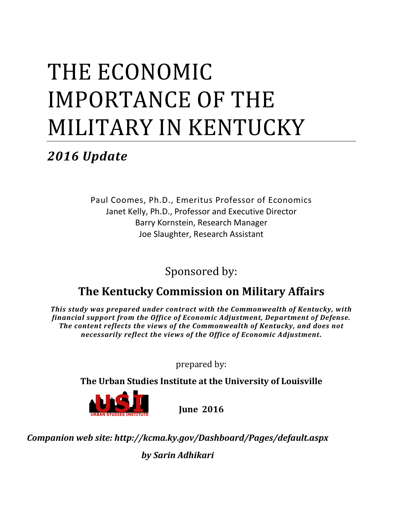# THE ECONOMIC IMPORTANCE OF THE MILITARY IN KENTUCKY

*2016 Update*

Paul Coomes, Ph.D., Emeritus Professor of Economics Janet Kelly, Ph.D., Professor and Executive Director Barry Kornstein, Research Manager Joe Slaughter, Research Assistant

Sponsored by:

# **The Kentucky Commission on Military Affairs**

*This study was prepared under contract with the Commonwealth of Kentucky, with financial support from the Office of Economic Adjustment, Department of Defense. The content reflects the views of the Commonwealth of Kentucky, and does not necessarily reflect the views of the Office of Economic Adjustment***.**

prepared by:

**The Urban Studies Institute at the University of Louisville**



**June 2016**

*Companion web site: http://kcma.ky.gov/Dashboard/Pages/default.aspx*

*by Sarin Adhikari*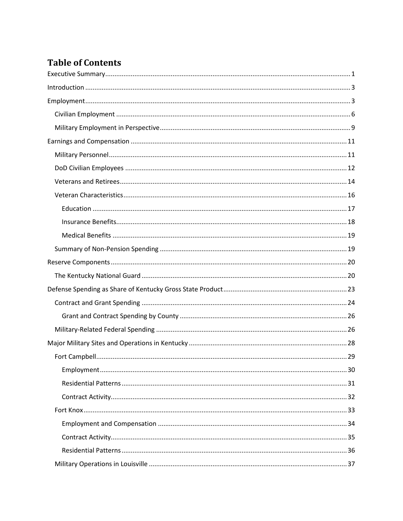# **Table of Contents**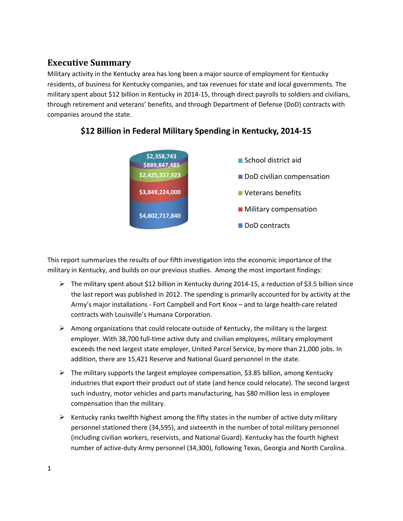# **Executive Summary**

Military activity in the Kentucky area has long been a major source of employment for Kentucky residents, of business for Kentucky companies, and tax revenues for state and local governments. The military spent about \$12 billion in Kentucky in 2014-15, through direct payrolls to soldiers and civilians, through retirement and veterans' benefits, and through Department of Defense (DoD) contracts with companies around the state.



## **\$12 Billion in Federal Military Spending in Kentucky, 2014-15**

This report summarizes the results of our fifth investigation into the economic importance of the military in Kentucky, and builds on our previous studies. Among the most important findings:

- $\triangleright$  The military spent about \$12 billion in Kentucky during 2014-15, a reduction of \$3.5 billion since the last report was published in 2012. The spending is primarily accounted for by activity at the Army's major installations - Fort Campbell and Fort Knox – and to large health-care related contracts with Louisville's Humana Corporation.
- $\triangleright$  Among organizations that could relocate outside of Kentucky, the military is the largest employer. With 38,700 full-time active duty and civilian employees, military employment exceeds the next largest state employer, United Parcel Service, by more than 21,000 jobs. In addition, there are 15,421 Reserve and National Guard personnel in the state.
- $\triangleright$  The military supports the largest employee compensation, \$3.85 billion, among Kentucky industries that export their product out of state (and hence could relocate). The second largest such industry, motor vehicles and parts manufacturing, has \$80 million less in employee compensation than the military.
- $\triangleright$  Kentucky ranks twelfth highest among the fifty states in the number of active duty military personnel stationed there (34,595), and sixteenth in the number of total military personnel (including civilian workers, reservists, and National Guard). Kentucky has the fourth highest number of active-duty Army personnel (34,300), following Texas, Georgia and North Carolina.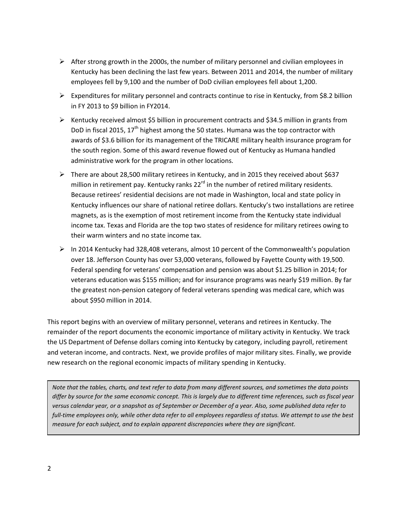- $\triangleright$  After strong growth in the 2000s, the number of military personnel and civilian employees in Kentucky has been declining the last few years. Between 2011 and 2014, the number of military employees fell by 9,100 and the number of DoD civilian employees fell about 1,200.
- Expenditures for military personnel and contracts continue to rise in Kentucky, from \$8.2 billion in FY 2013 to \$9 billion in FY2014.
- $\triangleright$  Kentucky received almost \$5 billion in procurement contracts and \$34.5 million in grants from DoD in fiscal 2015,  $17<sup>th</sup>$  highest among the 50 states. Humana was the top contractor with awards of \$3.6 billion for its management of the TRICARE military health insurance program for the south region. Some of this award revenue flowed out of Kentucky as Humana handled administrative work for the program in other locations.
- $\triangleright$  There are about 28,500 military retirees in Kentucky, and in 2015 they received about \$637 million in retirement pay. Kentucky ranks  $22^{rd}$  in the number of retired military residents. Because retirees' residential decisions are not made in Washington, local and state policy in Kentucky influences our share of national retiree dollars. Kentucky's two installations are retiree magnets, as is the exemption of most retirement income from the Kentucky state individual income tax. Texas and Florida are the top two states of residence for military retirees owing to their warm winters and no state income tax.
- $\triangleright$  In 2014 Kentucky had 328,408 veterans, almost 10 percent of the Commonwealth's population over 18. Jefferson County has over 53,000 veterans, followed by Fayette County with 19,500. Federal spending for veterans' compensation and pension was about \$1.25 billion in 2014; for veterans education was \$155 million; and for insurance programs was nearly \$19 million. By far the greatest non-pension category of federal veterans spending was medical care, which was about \$950 million in 2014.

This report begins with an overview of military personnel, veterans and retirees in Kentucky. The remainder of the report documents the economic importance of military activity in Kentucky. We track the US Department of Defense dollars coming into Kentucky by category, including payroll, retirement and veteran income, and contracts. Next, we provide profiles of major military sites. Finally, we provide new research on the regional economic impacts of military spending in Kentucky.

*Note that the tables, charts, and text refer to data from many different sources, and sometimes the data points differ by source for the same economic concept. This is largely due to different time references, such as fiscal year versus calendar year, or a snapshot as of September or December of a year. Also, some published data refer to full-time employees only, while other data refer to all employees regardless of status. We attempt to use the best measure for each subject, and to explain apparent discrepancies where they are significant.*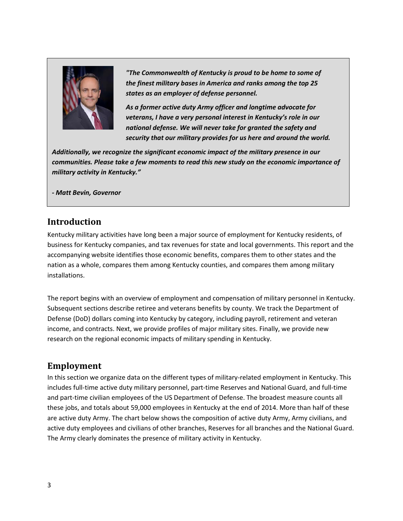

*"The Commonwealth of Kentucky is proud to be home to some of the finest military bases in America and ranks among the top 25 states as an employer of defense personnel.*

*As a former active duty Army officer and longtime advocate for veterans, I have a very personal interest in Kentucky's role in our national defense. We will never take for granted the safety and security that our military provides for us here and around the world.* 

*Additionally, we recognize the significant economic impact of the military presence in our communities. Please take a few moments to read this new study on the economic importance of military activity in Kentucky."*

*- Matt Bevin, Governor*

## **Introduction**

Kentucky military activities have long been a major source of employment for Kentucky residents, of business for Kentucky companies, and tax revenues for state and local governments. This report and the accompanying website identifies those economic benefits, compares them to other states and the nation as a whole, compares them among Kentucky counties, and compares them among military installations.

The report begins with an overview of employment and compensation of military personnel in Kentucky. Subsequent sections describe retiree and veterans benefits by county. We track the Department of Defense (DoD) dollars coming into Kentucky by category, including payroll, retirement and veteran income, and contracts. Next, we provide profiles of major military sites. Finally, we provide new research on the regional economic impacts of military spending in Kentucky.

## <span id="page-5-0"></span>**Employment**

In this section we organize data on the different types of military-related employment in Kentucky. This includes full-time active duty military personnel, part-time Reserves and National Guard, and full-time and part-time civilian employees of the US Department of Defense. The broadest measure counts all these jobs, and totals about 59,000 employees in Kentucky at the end of 2014. More than half of these are active duty Army. The chart below shows the composition of active duty Army, Army civilians, and active duty employees and civilians of other branches, Reserves for all branches and the National Guard. The Army clearly dominates the presence of military activity in Kentucky.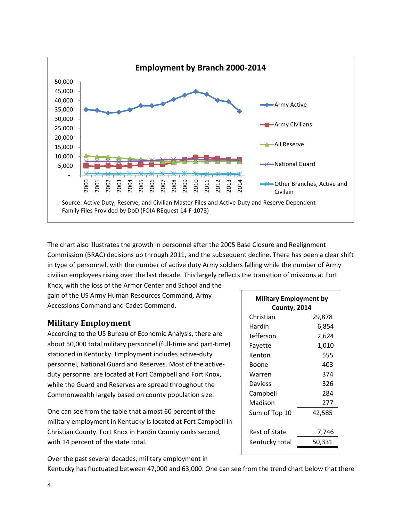

The chart also illustrates the growth in personnel after the 2005 Base Closure and Realignment Commission (BRAC) decisions up through 2011, and the subsequent decline. There has been a clear shift in type of personnel, with the number of active duty Army soldiers falling while the number of Army civilian employees rising over the last decade. This largely reflects the transition of missions at Fort

Knox, with the loss of the Armor Center and School and the gain of the US Army Human Resources Command, Army Accessions Command and Cadet Command.

## **Military Employment**

According to the US Bureau of Economic Analysis, there are about 50,000 total military personnel (full-time and part-time) stationed in Kentucky. Employment includes active-duty personnel, National Guard and Reserves. Most of the activeduty personnel are located at Fort Campbell and Fort Knox, while the Guard and Reserves are spread throughout the Commonwealth largely based on county population size.

One can see from the table that almost 60 percent of the military employment in Kentucky is located at Fort Campbell in Christian County. Fort Knox in Hardin County ranks second, with 14 percent of the state total.

| Military Employment by<br>County, 2014 |        |  |  |
|----------------------------------------|--------|--|--|
| Christian                              | 29,878 |  |  |
| Hardin                                 | 6,854  |  |  |
| Jefferson                              | 2,624  |  |  |
| Fayette                                | 1,010  |  |  |
| Kenton                                 | 555    |  |  |
| Boone                                  | 403    |  |  |
| Warren                                 | 374    |  |  |
| Daviess                                | 326    |  |  |
| Campbell                               | 284    |  |  |
| Madison                                | 277    |  |  |
| Sum of Top 10                          | 42,585 |  |  |
| Rest of State                          | 7,746  |  |  |
| Kentucky total                         | 50,331 |  |  |

Over the past several decades, military employment in Kentucky has fluctuated between 47,000 and 63,000. One can see from the trend chart below that there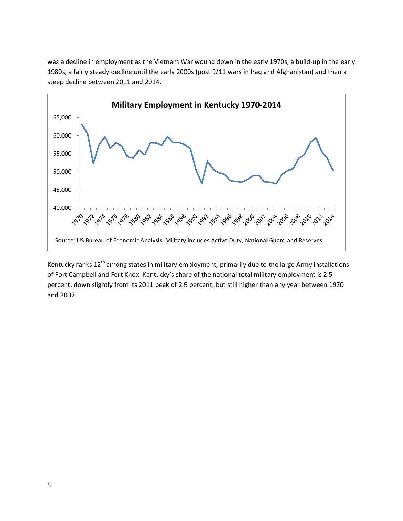was a decline in employment as the Vietnam War wound down in the early 1970s, a build-up in the early 1980s, a fairly steady decline until the early 2000s (post 9/11 wars in Iraq and Afghanistan) and then a steep decline between 2011 and 2014.



Kentucky ranks 12<sup>th</sup> among states in military employment, primarily due to the large Army installations of Fort Campbell and Fort Knox. Kentucky's share of the national total military employment is 2.5 percent, down slightly from its 2011 peak of 2.9 percent, but still higher than any year between 1970 and 2007.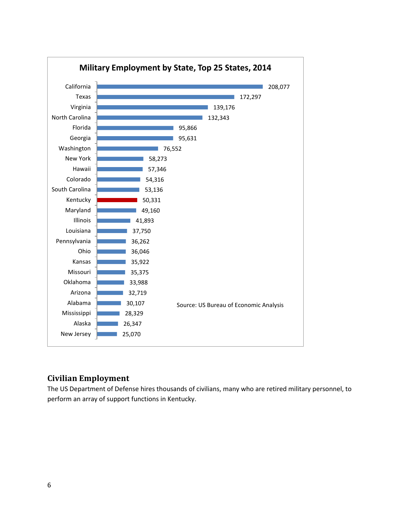

## <span id="page-8-0"></span>**Civilian Employment**

The US Department of Defense hires thousands of civilians, many who are retired military personnel, to perform an array of support functions in Kentucky.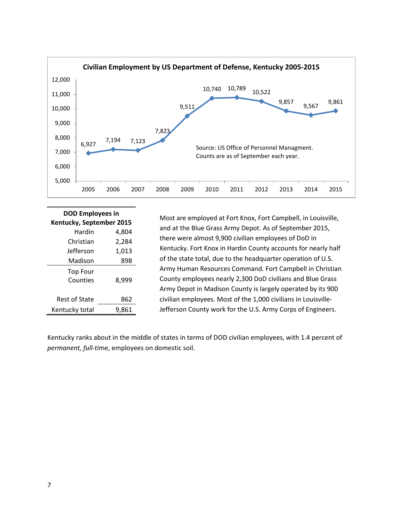

| <b>DOD Employees in</b>  |       |  |  |
|--------------------------|-------|--|--|
| Kentucky, September 2015 |       |  |  |
| Hardin                   | 4,804 |  |  |
| Christian                | 2,284 |  |  |
| Jefferson                | 1,013 |  |  |
| Madison                  | 898   |  |  |
| Top Four                 |       |  |  |
| Counties                 | 8,999 |  |  |
|                          |       |  |  |
| Rest of State            | 862   |  |  |
| Kentucky total           | 9,861 |  |  |

Most are employed at Fort Knox, Fort Campbell, in Louisville, and at the Blue Grass Army Depot. As of September 2015, there were almost 9,900 civilian employees of DoD in Kentucky. Fort Knox in Hardin County accounts for nearly half of the state total, due to the headquarter operation of U.S. Army Human Resources Command. Fort Campbell in Christian County employees nearly 2,300 DoD civilians and Blue Grass Army Depot in Madison County is largely operated by its 900 civilian employees. Most of the 1,000 civilians in Louisville-Jefferson County work for the U.S. Army Corps of Engineers.

Kentucky ranks about in the middle of states in terms of DOD civilian employees, with 1.4 percent of *permanent, full-ti*me, employees on domestic soil.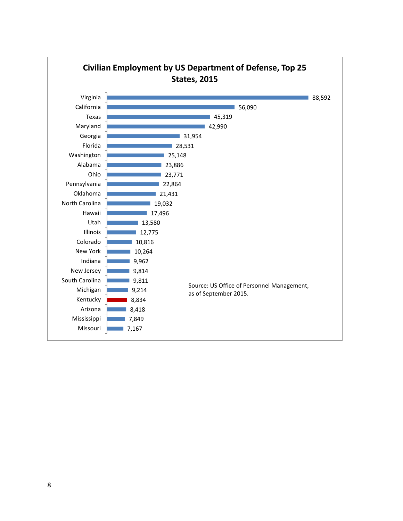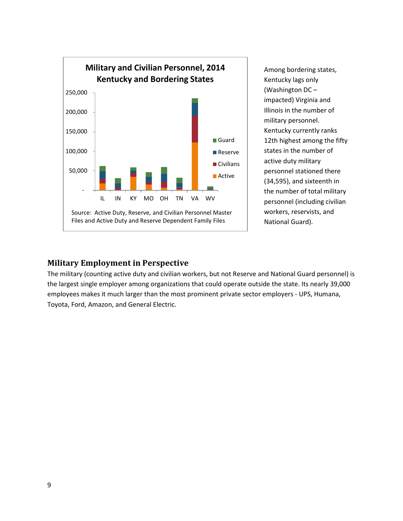

Among bordering states, Kentucky lags only (Washington DC – impacted) Virginia and Illinois in the number of military personnel. Kentucky currently ranks 12th highest among the fifty states in the number of active duty military personnel stationed there (34,595), and sixteenth in the number of total military personnel (including civilian workers, reservists, and National Guard).

#### <span id="page-11-0"></span>**Military Employment in Perspective**

The military (counting active duty and civilian workers, but not Reserve and National Guard personnel) is the largest single employer among organizations that could operate outside the state. Its nearly 39,000 employees makes it much larger than the most prominent private sector employers - UPS, Humana, Toyota, Ford, Amazon, and General Electric.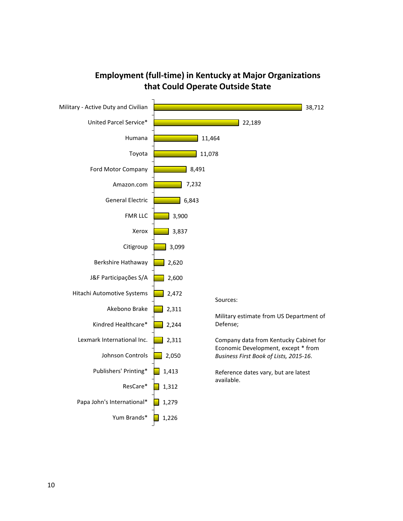

## **Employment (full-time) in Kentucky at Major Organizations that Could Operate Outside State**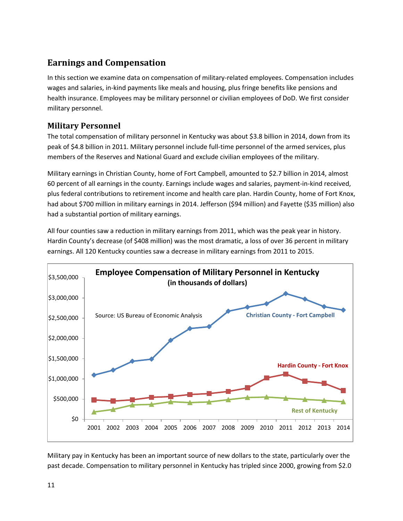# <span id="page-13-0"></span>**Earnings and Compensation**

In this section we examine data on compensation of military-related employees. Compensation includes wages and salaries, in-kind payments like meals and housing, plus fringe benefits like pensions and health insurance. Employees may be military personnel or civilian employees of DoD. We first consider military personnel.

## <span id="page-13-1"></span>**Military Personnel**

The total compensation of military personnel in Kentucky was about \$3.8 billion in 2014, down from its peak of \$4.8 billion in 2011. Military personnel include full-time personnel of the armed services, plus members of the Reserves and National Guard and exclude civilian employees of the military.

Military earnings in Christian County, home of Fort Campbell, amounted to \$2.7 billion in 2014, almost 60 percent of all earnings in the county. Earnings include wages and salaries, payment-in-kind received, plus federal contributions to retirement income and health care plan. Hardin County, home of Fort Knox, had about \$700 million in military earnings in 2014. Jefferson (\$94 million) and Fayette (\$35 million) also had a substantial portion of military earnings.

All four counties saw a reduction in military earnings from 2011, which was the peak year in history. Hardin County's decrease (of \$408 million) was the most dramatic, a loss of over 36 percent in military earnings. All 120 Kentucky counties saw a decrease in military earnings from 2011 to 2015.



Military pay in Kentucky has been an important source of new dollars to the state, particularly over the past decade. Compensation to military personnel in Kentucky has tripled since 2000, growing from \$2.0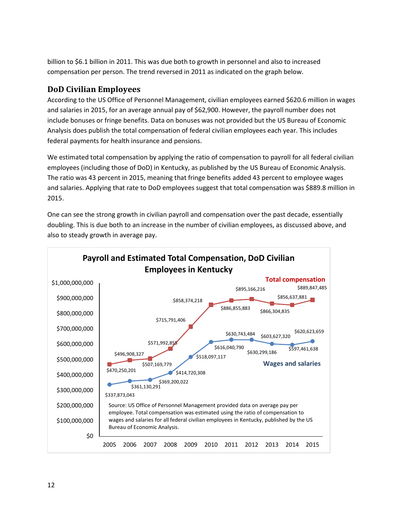billion to \$6.1 billion in 2011. This was due both to growth in personnel and also to increased compensation per person. The trend reversed in 2011 as indicated on the graph below.

## <span id="page-14-0"></span>**DoD Civilian Employees**

According to the US Office of Personnel Management, civilian employees earned \$620.6 million in wages and salaries in 2015, for an average annual pay of \$62,900. However, the payroll number does not include bonuses or fringe benefits. Data on bonuses was not provided but the US Bureau of Economic Analysis does publish the total compensation of federal civilian employees each year. This includes federal payments for health insurance and pensions.

We estimated total compensation by applying the ratio of compensation to payroll for all federal civilian employees (including those of DoD) in Kentucky, as published by the US Bureau of Economic Analysis. The ratio was 43 percent in 2015, meaning that fringe benefits added 43 percent to employee wages and salaries. Applying that rate to DoD employees suggest that total compensation was \$889.8 million in 2015.

One can see the strong growth in civilian payroll and compensation over the past decade, essentially doubling. This is due both to an increase in the number of civilian employees, as discussed above, and also to steady growth in average pay.

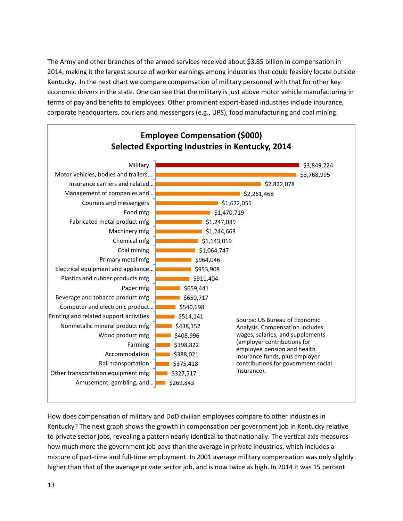The Army and other branches of the armed services received about \$3.85 billion in compensation in 2014, making it the largest source of worker earnings among industries that could feasibly locate outside Kentucky. In the next chart we compare compensation of military personnel with that for other key economic drivers in the state. One can see that the military is just above motor vehicle manufacturing in terms of pay and benefits to employees. Other prominent export-based industries include insurance, corporate headquarters, couriers and messengers (e.g., UPS), food manufacturing and coal mining.



How does compensation of military and DoD civilian employees compare to other industries in Kentucky? The next graph shows the growth in compensation per government job in Kentucky relative to private sector jobs, revealing a pattern nearly identical to that nationally. The vertical axis measures how much more the government job pays than the average in private industries, which includes a mixture of part-time and full-time employment. In 2001 average military compensation was only slightly higher than that of the average private sector job, and is now twice as high. In 2014 it was 15 percent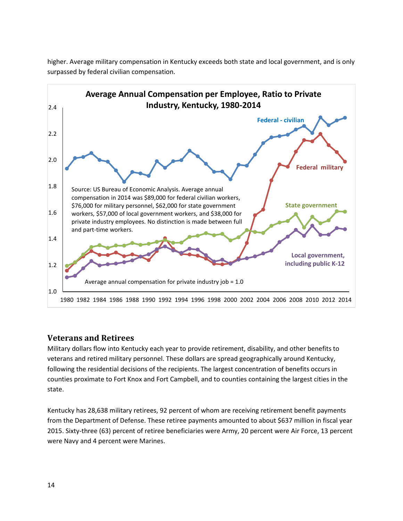

higher. Average military compensation in Kentucky exceeds both state and local government, and is only surpassed by federal civilian compensation.

## <span id="page-16-0"></span>**Veterans and Retirees**

Military dollars flow into Kentucky each year to provide retirement, disability, and other benefits to veterans and retired military personnel. These dollars are spread geographically around Kentucky, following the residential decisions of the recipients. The largest concentration of benefits occurs in counties proximate to Fort Knox and Fort Campbell, and to counties containing the largest cities in the state.

Kentucky has 28,638 military retirees, 92 percent of whom are receiving retirement benefit payments from the Department of Defense. These retiree payments amounted to about \$637 million in fiscal year 2015. Sixty-three (63) percent of retiree beneficiaries were Army, 20 percent were Air Force, 13 percent were Navy and 4 percent were Marines.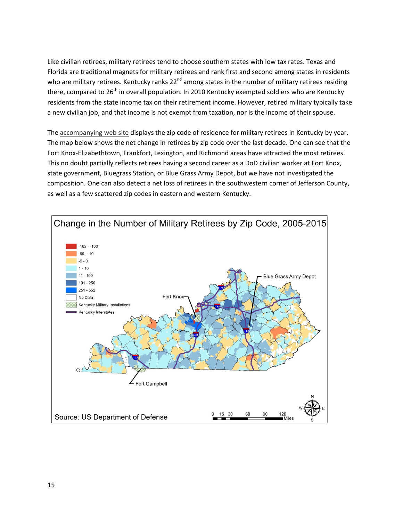Like civilian retirees, military retirees tend to choose southern states with low tax rates. Texas and Florida are traditional magnets for military retirees and rank first and second among states in residents who are military retirees. Kentucky ranks 22<sup>nd</sup> among states in the number of military retirees residing there, compared to  $26<sup>th</sup>$  in overall population. In 2010 Kentucky exempted soldiers who are Kentucky residents from the state income tax on their retirement income. However, retired military typically take a new civilian job, and that income is not exempt from taxation, nor is the income of their spouse.

The [accompanying web site](http://kcma.ky.gov/Dashboard/Pages/default.aspx) displays the zip code of residence for military retirees in Kentucky by year. The map below shows the net change in retirees by zip code over the last decade. One can see that the Fort Knox-Elizabethtown, Frankfort, Lexington, and Richmond areas have attracted the most retirees. This no doubt partially reflects retirees having a second career as a DoD civilian worker at Fort Knox, state government, Bluegrass Station, or Blue Grass Army Depot, but we have not investigated the composition. One can also detect a net loss of retirees in the southwestern corner of Jefferson County, as well as a few scattered zip codes in eastern and western Kentucky.

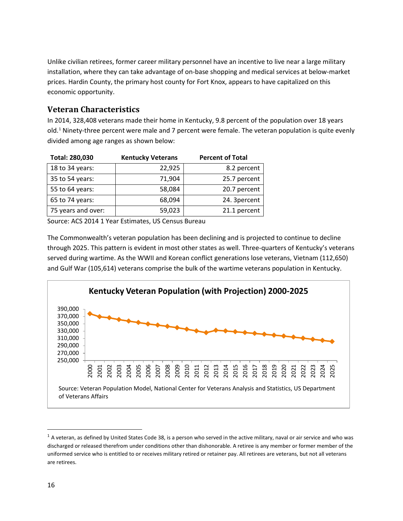Unlike civilian retirees, former career military personnel have an incentive to live near a large military installation, where they can take advantage of on-base shopping and medical services at below-market prices. Hardin County, the primary host county for Fort Knox, appears to have capitalized on this economic opportunity.

## <span id="page-18-0"></span>**Veteran Characteristics**

In 2014, 328,408 veterans made their home in Kentucky, 9.8 percent of the population over 18 years old.[1](#page-18-1) Ninety-three percent were male and 7 percent were female. The veteran population is quite evenly divided among age ranges as shown below:

| Total: 280,030     | <b>Kentucky Veterans</b> | <b>Percent of Total</b> |
|--------------------|--------------------------|-------------------------|
| 18 to 34 years:    | 22,925                   | 8.2 percent             |
| 35 to 54 years:    | 71,904                   | 25.7 percent            |
| 55 to 64 years:    | 58,084                   | 20.7 percent            |
| 65 to 74 years:    | 68,094                   | 24. 3percent            |
| 75 years and over: | 59,023                   | 21.1 percent            |

Source: ACS 2014 1 Year Estimates, US Census Bureau

The Commonwealth's veteran population has been declining and is projected to continue to decline through 2025. This pattern is evident in most other states as well. Three-quarters of Kentucky's veterans served during wartime. As the WWII and Korean conflict generations lose veterans, Vietnam (112,650) and Gulf War (105,614) veterans comprise the bulk of the wartime veterans population in Kentucky.



<span id="page-18-1"></span> $1$  A veteran, as defined by United States Code 38, is a person who served in the active military, naval or air service and who was discharged or released therefrom under conditions other than dishonorable. A retiree is any member or former member of the uniformed service who is entitled to or receives military retired or retainer pay. All retirees are veterans, but not all veterans are retirees.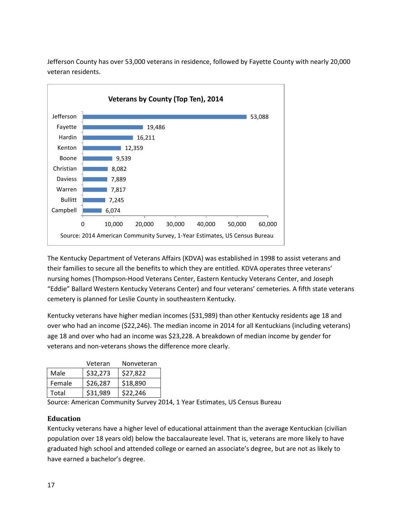Jefferson County has over 53,000 veterans in residence, followed by Fayette County with nearly 20,000 veteran residents.



The Kentucky Department of Veterans Affairs (KDVA) was established in 1998 to assist veterans and their families to secure all the benefits to which they are entitled. KDVA operates three veterans' nursing homes (Thompson-Hood Veterans Center, Eastern Kentucky Veterans Center, and Joseph "Eddie" Ballard Western Kentucky Veterans Center) and four veterans' cemeteries. A fifth state veterans cemetery is planned for Leslie County in southeastern Kentucky.

Kentucky veterans have higher median incomes (\$31,989) than other Kentucky residents age 18 and over who had an income (\$22,246). The median income in 2014 for all Kentuckians (including veterans) age 18 and over who had an income was \$23,228. A breakdown of median income by gender for veterans and non-veterans shows the difference more clearly.

|        | Veteran  | Nonveteran |
|--------|----------|------------|
| Male   | \$32,273 | \$27,822   |
| Female | \$26,287 | \$18,890   |
| Total  | \$31,989 | \$22,246   |

Source: American Community Survey 2014, 1 Year Estimates, US Census Bureau

#### <span id="page-19-0"></span>**Education**

Kentucky veterans have a higher level of educational attainment than the average Kentuckian (civilian population over 18 years old) below the baccalaureate level. That is, veterans are more likely to have graduated high school and attended college or earned an associate's degree, but are not as likely to have earned a bachelor's degree.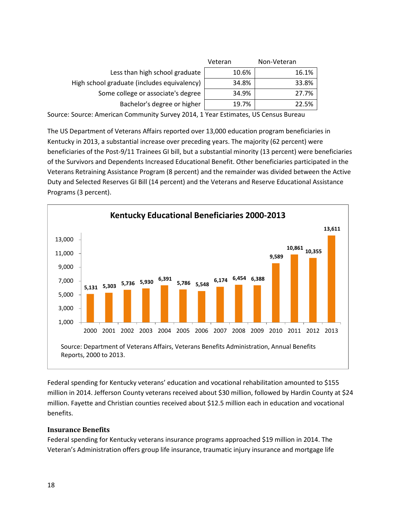|                                             | Veteran | Non-Veteran |  |
|---------------------------------------------|---------|-------------|--|
| Less than high school graduate              | 10.6%   | 16.1%       |  |
| High school graduate (includes equivalency) | 34.8%   | 33.8%       |  |
| Some college or associate's degree          | 34.9%   | 27.7%       |  |
| Bachelor's degree or higher                 | 19.7%   | 22.5%       |  |

Source: Source: American Community Survey 2014, 1 Year Estimates, US Census Bureau

The US Department of Veterans Affairs reported over 13,000 education program beneficiaries in Kentucky in 2013, a substantial increase over preceding years. The majority (62 percent) were beneficiaries of the Post-9/11 Trainees GI bill, but a substantial minority (13 percent) were beneficiaries of the Survivors and Dependents Increased Educational Benefit. Other beneficiaries participated in the Veterans Retraining Assistance Program (8 percent) and the remainder was divided between the Active Duty and Selected Reserves GI Bill (14 percent) and the Veterans and Reserve Educational Assistance Programs (3 percent).



Federal spending for Kentucky veterans' education and vocational rehabilitation amounted to \$155 million in 2014. Jefferson County veterans received about \$30 million, followed by Hardin County at \$24 million. Fayette and Christian counties received about \$12.5 million each in education and vocational benefits.

#### <span id="page-20-0"></span>**Insurance Benefits**

Federal spending for Kentucky veterans insurance programs approached \$19 million in 2014. The Veteran's Administration offers group life insurance, traumatic injury insurance and mortgage life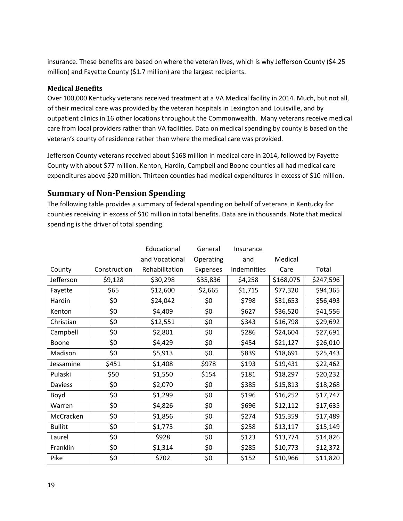insurance. These benefits are based on where the veteran lives, which is why Jefferson County (\$4.25 million) and Fayette County (\$1.7 million) are the largest recipients.

#### <span id="page-21-0"></span>**Medical Benefits**

Over 100,000 Kentucky veterans received treatment at a VA Medical facility in 2014. Much, but not all, of their medical care was provided by the veteran hospitals in Lexington and Louisville, and by outpatient clinics in 16 other locations throughout the Commonwealth. Many veterans receive medical care from local providers rather than VA facilities. Data on medical spending by county is based on the veteran's county of residence rather than where the medical care was provided.

Jefferson County veterans received about \$168 million in medical care in 2014, followed by Fayette County with about \$77 million. Kenton, Hardin, Campbell and Boone counties all had medical care expenditures above \$20 million. Thirteen counties had medical expenditures in excess of \$10 million.

## <span id="page-21-1"></span>**Summary of Non-Pension Spending**

The following table provides a summary of federal spending on behalf of veterans in Kentucky for counties receiving in excess of \$10 million in total benefits. Data are in thousands. Note that medical spending is the driver of total spending.

|                |              | Educational    | General   | Insurance   |           |           |
|----------------|--------------|----------------|-----------|-------------|-----------|-----------|
|                |              | and Vocational | Operating | and         | Medical   |           |
| County         | Construction | Rehabilitation | Expenses  | Indemnities | Care      | Total     |
| Jefferson      | \$9,128      | \$30,298       | \$35,836  | \$4,258     | \$168,075 | \$247,596 |
| Fayette        | \$65         | \$12,600       | \$2,665   | \$1,715     | \$77,320  | \$94,365  |
| Hardin         | \$0          | \$24,042       | \$0       | \$798       | \$31,653  | \$56,493  |
| Kenton         | \$0          | \$4,409        | \$0       | \$627       | \$36,520  | \$41,556  |
| Christian      | \$0          | \$12,551       | \$0       | \$343       | \$16,798  | \$29,692  |
| Campbell       | \$0          | \$2,801        | \$0       | \$286       | \$24,604  | \$27,691  |
| Boone          | \$0          | \$4,429        | \$0       | \$454       | \$21,127  | \$26,010  |
| Madison        | \$0          | \$5,913        | \$0       | \$839       | \$18,691  | \$25,443  |
| Jessamine      | \$451        | \$1,408        | \$978     | \$193       | \$19,431  | \$22,462  |
| Pulaski        | \$50         | \$1,550        | \$154     | \$181       | \$18,297  | \$20,232  |
| Daviess        | \$0          | \$2,070        | \$0       | \$385       | \$15,813  | \$18,268  |
| Boyd           | \$0          | \$1,299        | \$0       | \$196       | \$16,252  | \$17,747  |
| Warren         | \$0          | \$4,826        | \$0       | \$696       | \$12,112  | \$17,635  |
| McCracken      | \$0          | \$1,856        | \$0       | \$274       | \$15,359  | \$17,489  |
| <b>Bullitt</b> | \$0          | \$1,773        | \$0       | \$258       | \$13,117  | \$15,149  |
| Laurel         | \$0          | \$928          | \$0       | \$123       | \$13,774  | \$14,826  |
| Franklin       | \$0          | \$1,314        | \$0       | \$285       | \$10,773  | \$12,372  |
| Pike           | \$0          | \$702          | \$0       | \$152       | \$10,966  | \$11,820  |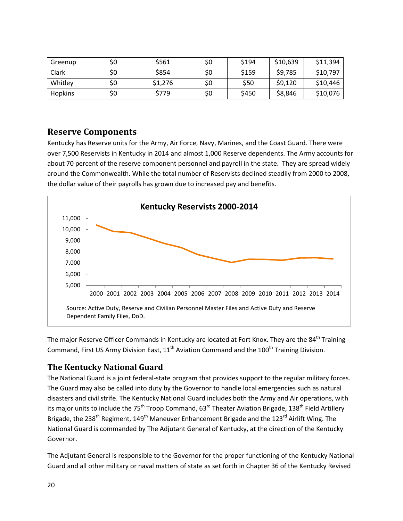| Greenup        | \$0 | \$561   | \$0 | \$194 | \$10,639 | \$11,394 |
|----------------|-----|---------|-----|-------|----------|----------|
| Clark          | \$0 | \$854   | \$0 | \$159 | \$9,785  | \$10,797 |
| Whitley        | \$0 | \$1,276 | \$0 | \$50  | \$9,120  | \$10,446 |
| <b>Hopkins</b> | \$0 | \$779   | \$0 | \$450 | \$8,846  | \$10,076 |

## <span id="page-22-0"></span>**Reserve Components**

Kentucky has Reserve units for the Army, Air Force, Navy, Marines, and the Coast Guard. There were over 7,500 Reservists in Kentucky in 2014 and almost 1,000 Reserve dependents. The Army accounts for about 70 percent of the reserve component personnel and payroll in the state. They are spread widely around the Commonwealth. While the total number of Reservists declined steadily from 2000 to 2008, the dollar value of their payrolls has grown due to increased pay and benefits.



The major Reserve Officer Commands in Kentucky are located at Fort Knox. They are the 84<sup>th</sup> Training Command, First US Army Division East,  $11<sup>th</sup>$  Aviation Command and the  $100<sup>th</sup>$  Training Division.

## <span id="page-22-1"></span>**The Kentucky National Guard**

The National Guard is a joint federal-state program that provides support to the regular military forces. The Guard may also be called into duty by the Governor to handle local emergencies such as natural disasters and civil strife. The Kentucky National Guard includes both the Army and Air operations, with its major units to include the 75<sup>th</sup> Troop Command, 63<sup>rd</sup> Theater Aviation Brigade, 138<sup>th</sup> Field Artillery Brigade, the 238<sup>th</sup> Regiment, 149<sup>th</sup> Maneuver Enhancement Brigade and the 123<sup>rd</sup> Airlift Wing. The National Guard is commanded by The Adjutant General of Kentucky, at the direction of the Kentucky Governor.

The Adjutant General is responsible to the Governor for the proper functioning of the Kentucky National Guard and all other military or naval matters of state as set forth in Chapter 36 of the Kentucky Revised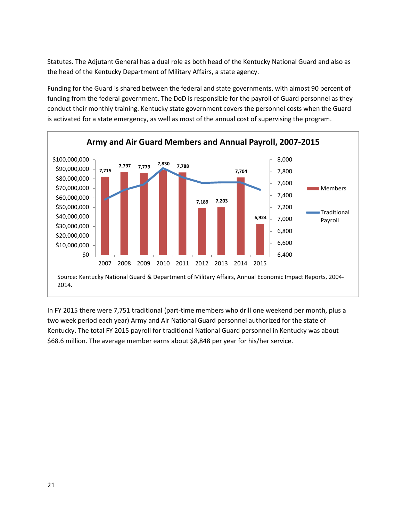Statutes. The Adjutant General has a dual role as both head of the Kentucky National Guard and also as the head of the Kentucky Department of Military Affairs, a state agency.

Funding for the Guard is shared between the federal and state governments, with almost 90 percent of funding from the federal government. The DoD is responsible for the payroll of Guard personnel as they conduct their monthly training. Kentucky state government covers the personnel costs when the Guard is activated for a state emergency, as well as most of the annual cost of supervising the program.



In FY 2015 there were 7,751 traditional (part-time members who drill one weekend per month, plus a two week period each year) Army and Air National Guard personnel authorized for the state of Kentucky. The total FY 2015 payroll for traditional National Guard personnel in Kentucky was about \$68.6 million. The average member earns about \$8,848 per year for his/her service.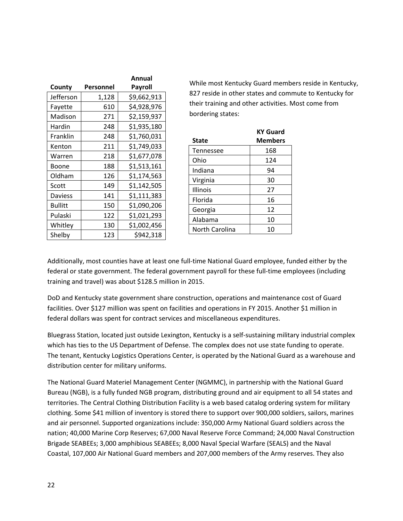|                |           | Annual      |
|----------------|-----------|-------------|
| County         | Personnel | Payroll     |
| Jefferson      | 1,128     | \$9,662,913 |
| Fayette        | 610       | \$4,928,976 |
| Madison        | 271       | \$2,159,937 |
| Hardin         | 248       | \$1,935,180 |
| Franklin       | 248       | \$1,760,031 |
| Kenton         | 211       | \$1,749,033 |
| Warren         | 218       | \$1,677,078 |
| Boone          | 188       | \$1,513,161 |
| Oldham         | 126       | \$1,174,563 |
| Scott          | 149       | \$1,142,505 |
| <b>Daviess</b> | 141       | \$1,111,383 |
| <b>Bullitt</b> | 150       | \$1,090,206 |
| Pulaski        | 122       | \$1,021,293 |
| Whitley        | 130       | \$1,002,456 |
| Shelby         | 123       | \$942,318   |

While most Kentucky Guard members reside in Kentucky, 827 reside in other states and commute to Kentucky for their training and other activities. Most come from bordering states:

|                  | <b>KY Guard</b> |
|------------------|-----------------|
| <b>State</b>     | <b>Members</b>  |
| <b>Tennessee</b> | 168             |
| Ohio             | 124             |
| Indiana          | 94              |
| Virginia         | 30              |
| Illinois         | 27              |
| Florida          | 16              |
| Georgia          | 12              |
| Alabama          | 10              |
| North Carolina   | 10              |

Additionally, most counties have at least one full-time National Guard employee, funded either by the federal or state government. The federal government payroll for these full-time employees (including training and travel) was about \$128.5 million in 2015.

DoD and Kentucky state government share construction, operations and maintenance cost of Guard facilities. Over \$127 million was spent on facilities and operations in FY 2015. Another \$1 million in federal dollars was spent for contract services and miscellaneous expenditures.

Bluegrass Station, located just outside Lexington, Kentucky is a self-sustaining military industrial complex which has ties to the US Department of Defense. The complex does not use state funding to operate. The tenant, Kentucky Logistics Operations Center, is operated by the National Guard as a warehouse and distribution center for military uniforms.

The National Guard Materiel Management Center (NGMMC), in partnership with the National Guard Bureau (NGB), is a fully funded NGB program, distributing ground and air equipment to all 54 states and territories. The Central Clothing Distribution Facility is a web based catalog ordering system for military clothing. Some \$41 million of inventory is stored there to support over 900,000 soldiers, sailors, marines and air personnel. Supported organizations include: 350,000 Army National Guard soldiers across the nation; 40,000 Marine Corp Reserves; 67,000 Naval Reserve Force Command; 24,000 Naval Construction Brigade SEABEEs; 3,000 amphibious SEABEEs; 8,000 Naval Special Warfare (SEALS) and the Naval Coastal, 107,000 Air National Guard members and 207,000 members of the Army reserves. They also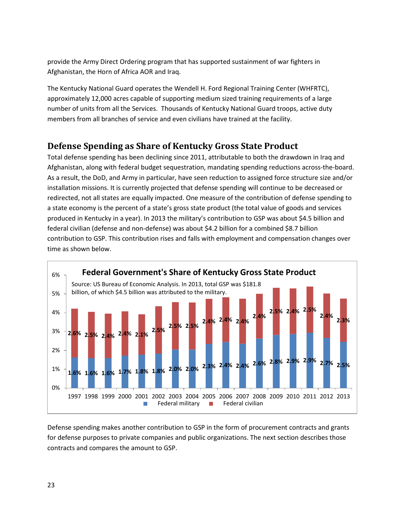provide the Army Direct Ordering program that has supported sustainment of war fighters in Afghanistan, the Horn of Africa AOR and Iraq.

The Kentucky National Guard operates the Wendell H. Ford Regional Training Center (WHFRTC), approximately 12,000 acres capable of supporting medium sized training requirements of a large number of units from all the Services. Thousands of Kentucky National Guard troops, active duty members from all branches of service and even civilians have trained at the facility.

# <span id="page-25-0"></span>**Defense Spending as Share of Kentucky Gross State Product**

Total defense spending has been declining since 2011, attributable to both the drawdown in Iraq and Afghanistan, along with federal budget sequestration, mandating spending reductions across-the-board. As a result, the DoD, and Army in particular, have seen reduction to assigned force structure size and/or installation missions. It is currently projected that defense spending will continue to be decreased or redirected, not all states are equally impacted. One measure of the contribution of defense spending to a state economy is the percent of a state's gross state product (the total value of goods and services produced in Kentucky in a year). In 2013 the military's contribution to GSP was about \$4.5 billion and federal civilian (defense and non-defense) was about \$4.2 billion for a combined \$8.7 billion contribution to GSP. This contribution rises and falls with employment and compensation changes over time as shown below.



<span id="page-25-1"></span>Defense spending makes another contribution to GSP in the form of procurement contracts and grants for defense purposes to private companies and public organizations. The next section describes those contracts and compares the amount to GSP.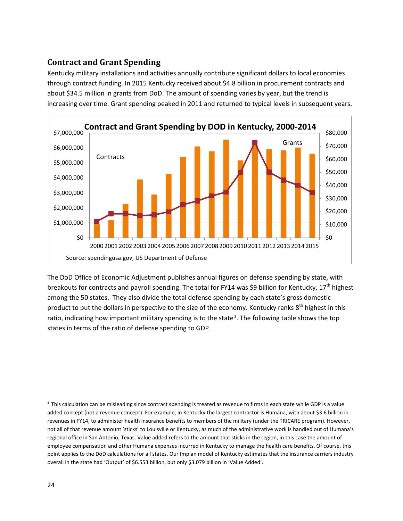## **Contract and Grant Spending**

Kentucky military installations and activities annually contribute significant dollars to local economies through contract funding. In 2015 Kentucky received about \$4.8 billion in procurement contracts and about \$34.5 million in grants from DoD. The amount of spending varies by year, but the trend is increasing over time. Grant spending peaked in 2011 and returned to typical levels in subsequent years.



The DoD Office of Economic Adjustment publishes annual figures on defense spending by state, with breakouts for contracts and payroll spending. The total for FY14 was \$9 billion for Kentucky,  $17<sup>th</sup>$  highest among the 50 states. They also divide the total defense spending by each state's gross domestic product to put the dollars in perspective to the size of the economy. Kentucky ranks 8<sup>th</sup> highest in this ratio, indicating how important military spending is to the state<sup>[2](#page-26-0)</sup>. The following table shows the top states in terms of the ratio of defense spending to GDP.

<span id="page-26-0"></span> $2$  This calculation can be misleading since contract spending is treated as revenue to firms in each state while GDP is a value added concept (not a revenue concept). For example, in Kentucky the largest contractor is Humana, with about \$3.6 billion in revenues in FY14, to administer health insurance benefits to members of the military (under the TRICARE program). However, not all of that revenue amount 'sticks' to Louisville or Kentucky, as much of the administrative work is handled out of Humana's regional office in San Antonio, Texas. Value added refers to the amount that sticks in the region, in this case the amount of employee compensation and other Humana expenses incurred in Kentucky to manage the health care benefits. Of course, this point applies to the DoD calculations for all states. Our Implan model of Kentucky estimates that the insurance carriers industry overall in the state had 'Output' of \$6.553 billion, but only \$3.079 billion in 'Value Added'.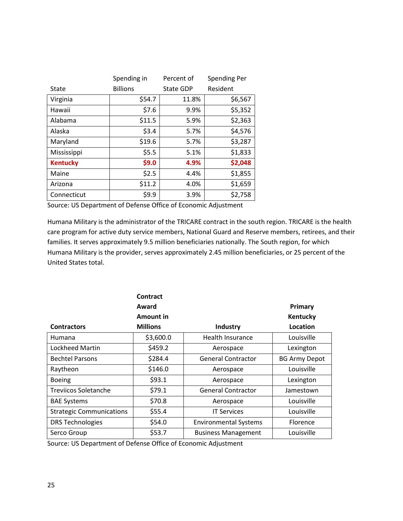|                 | Spending in     | Percent of       | Spending Per |
|-----------------|-----------------|------------------|--------------|
| State           | <b>Billions</b> | <b>State GDP</b> | Resident     |
| Virginia        | \$54.7          | 11.8%            | \$6,567      |
| Hawaii          | \$7.6           | 9.9%             | \$5,352      |
| Alabama         | \$11.5          | 5.9%             | \$2,363      |
| Alaska          | \$3.4           | 5.7%             | \$4,576      |
| Maryland        | \$19.6          | 5.7%             | \$3,287      |
| Mississippi     | \$5.5           | 5.1%             | \$1,833      |
| <b>Kentucky</b> | \$9.0           | 4.9%             | \$2,048      |
| Maine           | \$2.5           | 4.4%             | \$1,855      |
| Arizona         | \$11.2          | 4.0%             | \$1,659      |
| Connecticut     | \$9.9           | 3.9%             | \$2,758      |

Source: US Department of Defense Office of Economic Adjustment

Humana Military is the administrator of the TRICARE contract in the south region. TRICARE is the health care program for active duty service members, National Guard and Reserve members, retirees, and their families. It serves approximately 9.5 million beneficiaries nationally. The South region, for which Humana Military is the provider, serves approximately 2.45 million beneficiaries, or 25 percent of the United States total.

|                                 | Contract        |                              |                      |
|---------------------------------|-----------------|------------------------------|----------------------|
|                                 | Award           |                              | Primary              |
|                                 | Amount in       |                              | Kentucky             |
| <b>Contractors</b>              | <b>Millions</b> | Industry                     | Location             |
| Humana                          | \$3,600.0       | Health Insurance             | Louisville           |
| Lockheed Martin                 | \$459.2         | Aerospace                    | Lexington            |
| <b>Bechtel Parsons</b>          | \$284.4         | General Contractor           | <b>BG Army Depot</b> |
| Raytheon                        | \$146.0         | Aerospace                    | Louisville           |
| <b>Boeing</b>                   | \$93.1          | Aerospace                    | Lexington            |
| Treviicos Soletanche            | \$79.1          | <b>General Contractor</b>    | Jamestown            |
| <b>BAE Systems</b>              | \$70.8          | Aerospace                    | Louisville           |
| <b>Strategic Communications</b> | \$55.4          | <b>IT Services</b>           | Louisville           |
| <b>DRS Technologies</b>         | \$54.0          | <b>Environmental Systems</b> | <b>Florence</b>      |
| Serco Group                     | \$53.7          | <b>Business Management</b>   | Louisville           |

<span id="page-27-0"></span>Source: US Department of Defense Office of Economic Adjustment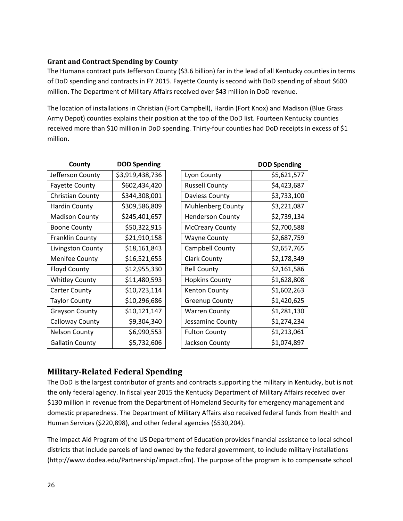#### **Grant and Contract Spending by County**

The Humana contract puts Jefferson County (\$3.6 billion) far in the lead of all Kentucky counties in terms of DoD spending and contracts in FY 2015. Fayette County is second with DoD spending of about \$600 million. The Department of Military Affairs received over \$43 million in DoD revenue.

The location of installations in Christian (Fort Campbell), Hardin (Fort Knox) and Madison (Blue Grass Army Depot) counties explains their position at the top of the DoD list. Fourteen Kentucky counties received more than \$10 million in DoD spending. Thirty-four counties had DoD receipts in excess of \$1 million.

| County                  | <b>DOD Spending</b> |                          | <b>DOD Spending</b> |
|-------------------------|---------------------|--------------------------|---------------------|
| Jefferson County        | \$3,919,438,736     | Lyon County              | \$5,621,577         |
| <b>Fayette County</b>   | \$602,434,420       | <b>Russell County</b>    | \$4,423,687         |
| <b>Christian County</b> | \$344,308,001       | Daviess County           | \$3,733,100         |
| <b>Hardin County</b>    | \$309,586,809       | <b>Muhlenberg County</b> | \$3,221,087         |
| <b>Madison County</b>   | \$245,401,657       | <b>Henderson County</b>  | \$2,739,134         |
| <b>Boone County</b>     | \$50,322,915        | <b>McCreary County</b>   | \$2,700,588         |
| <b>Franklin County</b>  | \$21,910,158        | <b>Wayne County</b>      | \$2,687,759         |
| Livingston County       | \$18,161,843        | Campbell County          | \$2,657,765         |
| <b>Menifee County</b>   | \$16,521,655        | <b>Clark County</b>      | \$2,178,349         |
| <b>Floyd County</b>     | \$12,955,330        | <b>Bell County</b>       | \$2,161,586         |
| <b>Whitley County</b>   | \$11,480,593        | <b>Hopkins County</b>    | \$1,628,808         |
| <b>Carter County</b>    | \$10,723,114        | <b>Kenton County</b>     | \$1,602,263         |
| <b>Taylor County</b>    | \$10,296,686        | <b>Greenup County</b>    | \$1,420,625         |
| <b>Grayson County</b>   | \$10,121,147        | <b>Warren County</b>     | \$1,281,130         |
| Calloway County         | \$9,304,340         | Jessamine County         | \$1,274,234         |
| <b>Nelson County</b>    | \$6,990,553         | <b>Fulton County</b>     | \$1,213,061         |
| <b>Gallatin County</b>  | \$5,732,606         | Jackson County           | \$1,074,897         |

## <span id="page-28-0"></span>**Military-Related Federal Spending**

The DoD is the largest contributor of grants and contracts supporting the military in Kentucky, but is not the only federal agency. In fiscal year 2015 the Kentucky Department of Military Affairs received over \$130 million in revenue from the Department of Homeland Security for emergency management and domestic preparedness. The Department of Military Affairs also received federal funds from Health and Human Services (\$220,898), and other federal agencies (\$530,204).

The Impact Aid Program of the US Department of Education provides financial assistance to local school districts that include parcels of land owned by the federal government, to include military installations (http://www.dodea.edu/Partnership/impact.cfm). The purpose of the program is to compensate school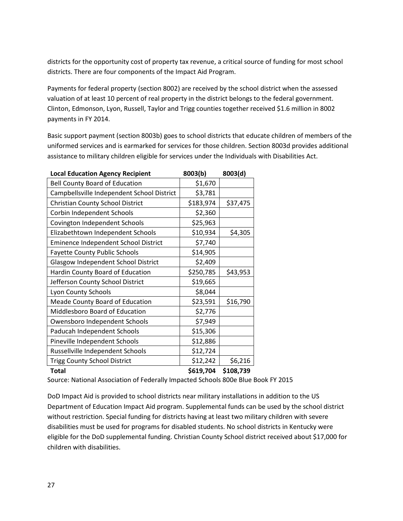districts for the opportunity cost of property tax revenue, a critical source of funding for most school districts. There are four components of the Impact Aid Program.

Payments for federal property (section 8002) are received by the school district when the assessed valuation of at least 10 percent of real property in the district belongs to the federal government. Clinton, Edmonson, Lyon, Russell, Taylor and Trigg counties together received \$1.6 million in 8002 payments in FY 2014.

Basic support payment (section 8003b) goes to school districts that educate children of members of the uniformed services and is earmarked for services for those children. Section 8003d provides additional assistance to military children eligible for services under the Individuals with Disabilities Act.

| <b>Local Education Agency Recipient</b>    | 8003(b)   | 8003(d)   |
|--------------------------------------------|-----------|-----------|
| <b>Bell County Board of Education</b>      | \$1,670   |           |
| Campbellsville Independent School District | \$3,781   |           |
| Christian County School District           | \$183,974 | \$37,475  |
| Corbin Independent Schools                 | \$2,360   |           |
| Covington Independent Schools              | \$25,963  |           |
| Elizabethtown Independent Schools          | \$10,934  | \$4,305   |
| Eminence Independent School District       | \$7,740   |           |
| <b>Fayette County Public Schools</b>       | \$14,905  |           |
| Glasgow Independent School District        | \$2,409   |           |
| Hardin County Board of Education           | \$250,785 | \$43,953  |
| Jefferson County School District           | \$19,665  |           |
| Lyon County Schools                        | \$8,044   |           |
| Meade County Board of Education            | \$23,591  | \$16,790  |
| Middlesboro Board of Education             | \$2,776   |           |
| Owensboro Independent Schools              | \$7,949   |           |
| Paducah Independent Schools                | \$15,306  |           |
| Pineville Independent Schools              | \$12,886  |           |
| Russellville Independent Schools           | \$12,724  |           |
| <b>Trigg County School District</b>        | \$12,242  | \$6,216   |
| <b>Total</b>                               | \$619,704 | \$108,739 |

Source: National Association of Federally Impacted Schools 800e Blue Book FY 2015

DoD Impact Aid is provided to school districts near military installations in addition to the US Department of Education Impact Aid program. Supplemental funds can be used by the school district without restriction. Special funding for districts having at least two military children with severe disabilities must be used for programs for disabled students. No school districts in Kentucky were eligible for the DoD supplemental funding. Christian County School district received about \$17,000 for children with disabilities.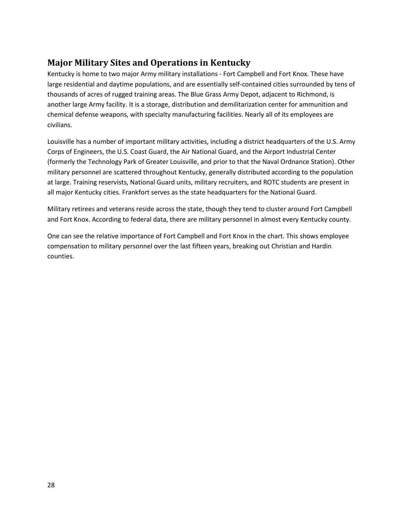# <span id="page-30-0"></span>**Major Military Sites and Operations in Kentucky**

Kentucky is home to two major Army military installations - Fort Campbell and Fort Knox. These have large residential and daytime populations, and are essentially self-contained cities surrounded by tens of thousands of acres of rugged training areas. The Blue Grass Army Depot, adjacent to Richmond, is another large Army facility. It is a storage, distribution and demilitarization center for ammunition and chemical defense weapons, with specialty manufacturing facilities. Nearly all of its employees are civilians.

Louisville has a number of important military activities, including a district headquarters of the U.S. Army Corps of Engineers, the U.S. Coast Guard, the Air National Guard, and the Airport Industrial Center (formerly the Technology Park of Greater Louisville, and prior to that the Naval Ordnance Station). Other military personnel are scattered throughout Kentucky, generally distributed according to the population at large. Training reservists, National Guard units, military recruiters, and ROTC students are present in all major Kentucky cities. Frankfort serves as the state headquarters for the National Guard.

Military retirees and veterans reside across the state, though they tend to cluster around Fort Campbell and Fort Knox. According to federal data, there are military personnel in almost every Kentucky county.

One can see the relative importance of Fort Campbell and Fort Knox in the chart. This shows employee compensation to military personnel over the last fifteen years, breaking out Christian and Hardin counties.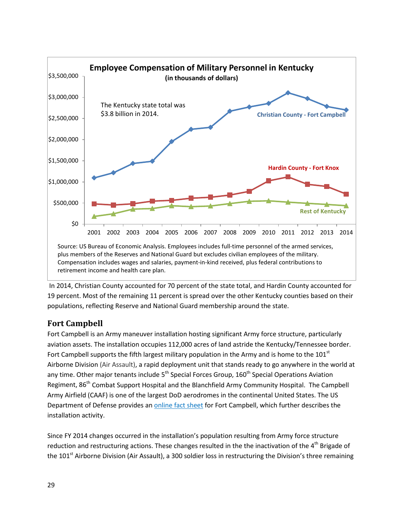

In 2014, Christian County accounted for 70 percent of the state total, and Hardin County accounted for 19 percent. Most of the remaining 11 percent is spread over the other Kentucky counties based on their populations, reflecting Reserve and National Guard membership around the state.

## <span id="page-31-0"></span>**Fort Campbell**

Fort Campbell is an Army maneuver installation hosting significant Army force structure, particularly aviation assets. The installation occupies 112,000 acres of land astride the Kentucky/Tennessee border. Fort Campbell supports the fifth largest military population in the Army and is home to the  $101<sup>st</sup>$ Airborne Division (Air Assault), a rapid deployment unit that stands ready to go anywhere in the world at any time. Other major tenants include  $5<sup>th</sup>$  Special Forces Group, 160 $<sup>th</sup>$  Special Operations Aviation</sup> Regiment, 86<sup>th</sup> Combat Support Hospital and the Blanchfield Army Community Hospital. The Campbell Army Airfield (CAAF) is one of the largest DoD aerodromes in the continental United States. The US Department of Defense provides an [online fact sheet](http://www.militaryinstallations.dod.mil/MOS/f?p=132:CONTENT:0::NO::P4_INST_ID%2CP4_INST_TYPE:2695%2CINSTALLATION) for Fort Campbell, which further describes the installation activity.

Since FY 2014 changes occurred in the installation's population resulting from Army force structure reduction and restructuring actions. These changes resulted in the the inactivation of the 4<sup>th</sup> Brigade of the 101<sup>st</sup> Airborne Division (Air Assault), a 300 soldier loss in restructuring the Division's three remaining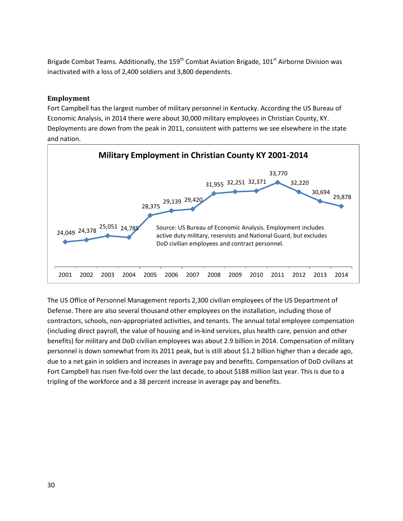Brigade Combat Teams. Additionally, the 159<sup>th</sup> Combat Aviation Brigade, 101<sup>st</sup> Airborne Division was inactivated with a loss of 2,400 soldiers and 3,800 dependents.

#### <span id="page-32-0"></span>**Employment**

Fort Campbell has the largest number of military personnel in Kentucky. According the US Bureau of Economic Analysis, in 2014 there were about 30,000 military employees in Christian County, KY. Deployments are down from the peak in 2011, consistent with patterns we see elsewhere in the state and nation.



The US Office of Personnel Management reports 2,300 civilian employees of the US Department of Defense. There are also several thousand other employees on the installation, including those of contractors, schools, non-appropriated activities, and tenants. The annual total employee compensation (including direct payroll, the value of housing and in-kind services, plus health care, pension and other benefits) for military and DoD civilian employees was about 2.9 billion in 2014. Compensation of military personnel is down somewhat from its 2011 peak, but is still about \$1.2 billion higher than a decade ago, due to a net gain in soldiers and increases in average pay and benefits. Compensation of DoD civilians at Fort Campbell has risen five-fold over the last decade, to about \$188 million last year. This is due to a tripling of the workforce and a 38 percent increase in average pay and benefits.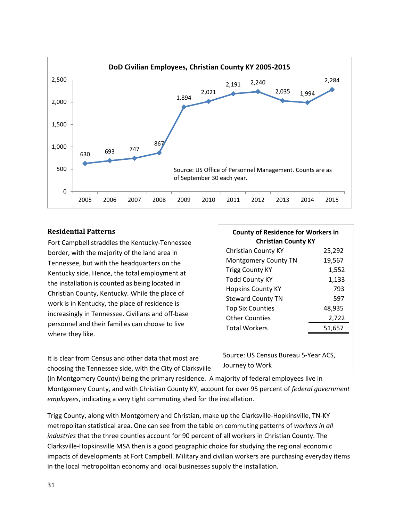

#### <span id="page-33-0"></span>**Residential Patterns**

Fort Campbell straddles the Kentucky-Tennessee border, with the majority of the land area in Tennessee, but with the headquarters on the Kentucky side. Hence, the total employment at the installation is counted as being located in Christian County, Kentucky. While the place of work is in Kentucky, the place of residence is increasingly in Tennessee. Civilians and off-base personnel and their families can choose to live where they like.

It is clear from Census and other data that most are choosing the Tennessee side, with the City of Clarksville

| <b>County of Residence for Workers in</b><br><b>Christian County KY</b> |        |  |  |  |
|-------------------------------------------------------------------------|--------|--|--|--|
| <b>Christian County KY</b>                                              | 25,292 |  |  |  |
| Montgomery County TN                                                    | 19,567 |  |  |  |
| <b>Trigg County KY</b>                                                  | 1,552  |  |  |  |
| <b>Todd County KY</b>                                                   | 1,133  |  |  |  |
| <b>Hopkins County KY</b>                                                | 793    |  |  |  |
| <b>Steward County TN</b>                                                | 597    |  |  |  |
| <b>Top Six Counties</b>                                                 | 48,935 |  |  |  |
| <b>Other Counties</b>                                                   | 2,722  |  |  |  |
| <b>Total Workers</b>                                                    | 51,657 |  |  |  |
| Source: US Census Bureau 5-Year ACS,<br>Journey to Work                 |        |  |  |  |

(in Montgomery County) being the primary residence. A majority of federal employees live in Montgomery County, and with Christian County KY, account for over 95 percent of *federal government employees*, indicating a very tight commuting shed for the installation.

Trigg County, along with Montgomery and Christian, make up the Clarksville-Hopkinsville, TN-KY metropolitan statistical area. One can see from the table on commuting patterns of *workers in all industries* that the three counties account for 90 percent of all workers in Christian County. The Clarksville-Hopkinsville MSA then is a good geographic choice for studying the regional economic impacts of developments at Fort Campbell. Military and civilian workers are purchasing everyday items in the local metropolitan economy and local businesses supply the installation.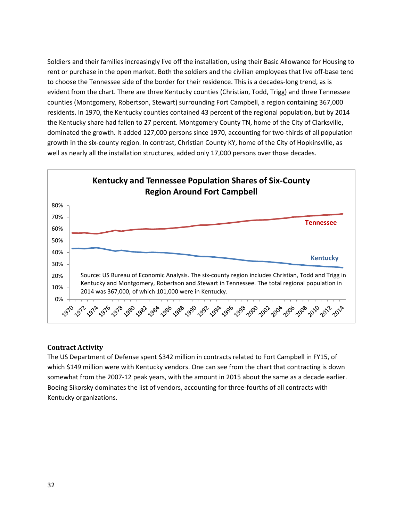Soldiers and their families increasingly live off the installation, using their Basic Allowance for Housing to rent or purchase in the open market. Both the soldiers and the civilian employees that live off-base tend to choose the Tennessee side of the border for their residence. This is a decades-long trend, as is evident from the chart. There are three Kentucky counties (Christian, Todd, Trigg) and three Tennessee counties (Montgomery, Robertson, Stewart) surrounding Fort Campbell, a region containing 367,000 residents. In 1970, the Kentucky counties contained 43 percent of the regional population, but by 2014 the Kentucky share had fallen to 27 percent. Montgomery County TN, home of the City of Clarksville, dominated the growth. It added 127,000 persons since 1970, accounting for two-thirds of all population growth in the six-county region. In contrast, Christian County KY, home of the City of Hopkinsville, as well as nearly all the installation structures, added only 17,000 persons over those decades.



#### <span id="page-34-0"></span>**Contract Activity**

The US Department of Defense spent \$342 million in contracts related to Fort Campbell in FY15, of which \$149 million were with Kentucky vendors. One can see from the chart that contracting is down somewhat from the 2007-12 peak years, with the amount in 2015 about the same as a decade earlier. Boeing Sikorsky dominates the list of vendors, accounting for three-fourths of all contracts with Kentucky organizations.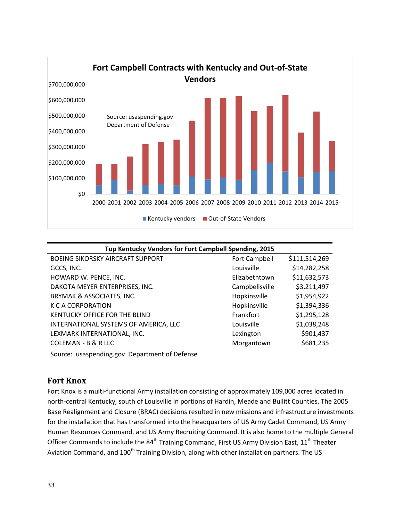

| Top Kentucky Vendors for Fort Campbell Spending, 2015 |                |               |  |
|-------------------------------------------------------|----------------|---------------|--|
| <b>BOEING SIKORSKY AIRCRAFT SUPPORT</b>               | Fort Campbell  | \$111,514,269 |  |
| GCCS, INC.                                            | Louisville     | \$14,282,258  |  |
| HOWARD W. PENCE, INC.                                 | Elizabethtown  | \$11,632,573  |  |
| DAKOTA MEYER ENTERPRISES, INC.                        | Campbellsville | \$3,211,497   |  |
| BRYMAK & ASSOCIATES, INC.                             | Hopkinsville   | \$1,954,922   |  |
| K C A CORPORATION                                     | Hopkinsville   | \$1,394,336   |  |
| KENTUCKY OFFICE FOR THE BLIND                         | Frankfort      | \$1,295,128   |  |
| INTERNATIONAL SYSTEMS OF AMERICA, LLC                 | Louisville     | \$1,038,248   |  |
| LEXMARK INTERNATIONAL, INC.                           | Lexington      | \$901,437     |  |
| COLEMAN - B & R LLC                                   | Morgantown     | \$681,235     |  |

Source: usaspending.gov Department of Defense

## <span id="page-35-0"></span>**Fort Knox**

Fort Knox is a multi-functional Army installation consisting of approximately 109,000 acres located in north-central Kentucky, south of Louisville in portions of Hardin, Meade and Bullitt Counties. The 2005 Base Realignment and Closure (BRAC) decisions resulted in new missions and infrastructure investments for the installation that has transformed into the headquarters of US Army Cadet Command, US Army Human Resources Command, and US Army Recruiting Command. It is also home to the multiple General Officer Commands to include the 84<sup>th</sup> Training Command, First US Army Division East, 11<sup>th</sup> Theater Aviation Command, and 100<sup>th</sup> Training Division, along with other installation partners. The US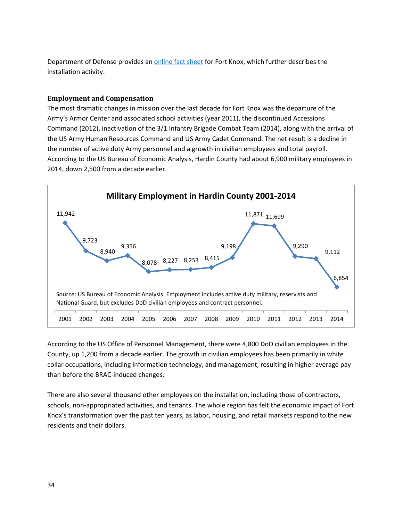Department of Defense provides an *online fact sheet* for Fort Knox, which further describes the installation activity.

#### <span id="page-36-0"></span>**Employment and Compensation**

The most dramatic changes in mission over the last decade for Fort Knox was the departure of the Army's Armor Center and associated school activities (year 2011), the discontinued Accessions Command (2012), inactivation of the 3/1 Infantry Brigade Combat Team (2014), along with the arrival of the US Army Human Resources Command and US Army Cadet Command. The net result is a decline in the number of active duty Army personnel and a growth in civilian employees and total payroll. According to the US Bureau of Economic Analysis, Hardin County had about 6,900 military employees in 2014, down 2,500 from a decade earlier.



According to the US Office of Personnel Management, there were 4,800 DoD civilian employees in the County, up 1,200 from a decade earlier. The growth in civilian employees has been primarily in white collar occupations, including information technology, and management, resulting in higher average pay than before the BRAC-induced changes.

There are also several thousand other employees on the installation, including those of contractors, schools, non-appropriated activities, and tenants. The whole region has felt the economic impact of Fort Knox's transformation over the past ten years, as labor, housing, and retail markets respond to the new residents and their dollars.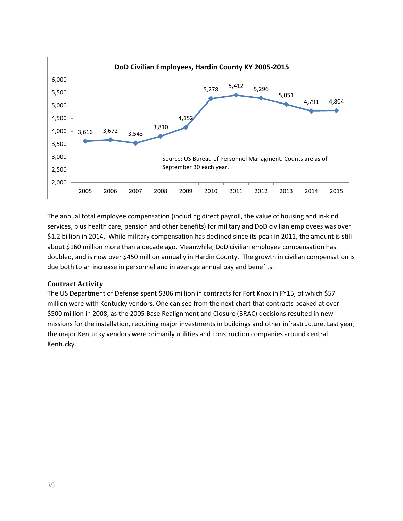

The annual total employee compensation (including direct payroll, the value of housing and in-kind services, plus health care, pension and other benefits) for military and DoD civilian employees was over \$1.2 billion in 2014. While military compensation has declined since its peak in 2011, the amount is still about \$160 million more than a decade ago. Meanwhile, DoD civilian employee compensation has doubled, and is now over \$450 million annually in Hardin County. The growth in civilian compensation is due both to an increase in personnel and in average annual pay and benefits.

#### <span id="page-37-0"></span>**Contract Activity**

The US Department of Defense spent \$306 million in contracts for Fort Knox in FY15, of which \$57 million were with Kentucky vendors. One can see from the next chart that contracts peaked at over \$500 million in 2008, as the 2005 Base Realignment and Closure (BRAC) decisions resulted in new missions for the installation, requiring major investments in buildings and other infrastructure. Last year, the major Kentucky vendors were primarily utilities and construction companies around central Kentucky.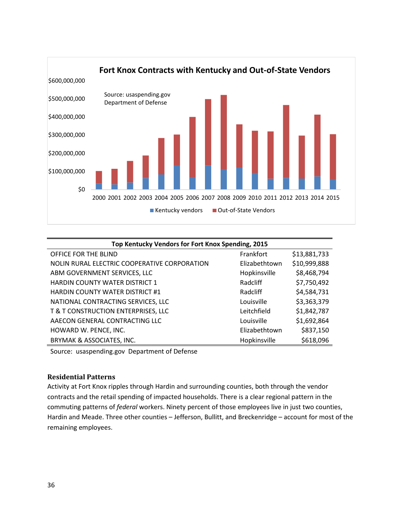

| Top Kentucky Vendors for Fort Knox Spending, 2015 |               |              |  |
|---------------------------------------------------|---------------|--------------|--|
| OFFICE FOR THE BLIND                              | Frankfort     | \$13,881,733 |  |
| NOLIN RURAL ELECTRIC COOPERATIVE CORPORATION      | Elizabethtown | \$10,999,888 |  |
| ABM GOVERNMENT SERVICES, LLC                      | Hopkinsville  | \$8,468,794  |  |
| <b>HARDIN COUNTY WATER DISTRICT 1</b>             | Radcliff      | \$7,750,492  |  |
| <b>HARDIN COUNTY WATER DISTRICT #1</b>            | Radcliff      | \$4,584,731  |  |
| NATIONAL CONTRACTING SERVICES, LLC                | Louisville    | \$3,363,379  |  |
| T & T CONSTRUCTION ENTERPRISES, LLC               | Leitchfield   | \$1,842,787  |  |
| AAECON GENERAL CONTRACTING LLC                    | Louisville    | \$1,692,864  |  |
| HOWARD W. PENCE, INC.                             | Elizabethtown | \$837,150    |  |
| BRYMAK & ASSOCIATES, INC.                         | Hopkinsville  | \$618,096    |  |

Source: usaspending.gov Department of Defense

#### <span id="page-38-0"></span>**Residential Patterns**

Activity at Fort Knox ripples through Hardin and surrounding counties, both through the vendor contracts and the retail spending of impacted households. There is a clear regional pattern in the commuting patterns of *federal* workers. Ninety percent of those employees live in just two counties, Hardin and Meade. Three other counties – Jefferson, Bullitt, and Breckenridge – account for most of the remaining employees.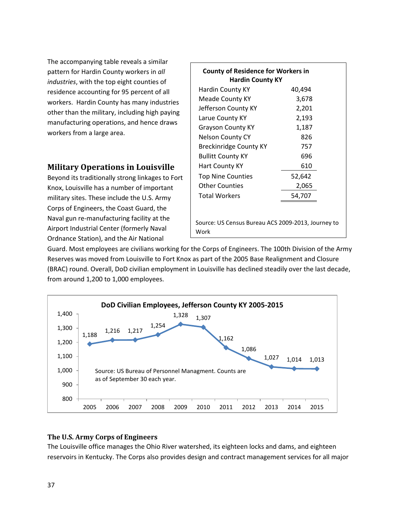The accompanying table reveals a similar pattern for Hardin County workers in *all industries*, with the top eight counties of residence accounting for 95 percent of all workers. Hardin County has many industries other than the military, including high paying manufacturing operations, and hence draws workers from a large area.

## <span id="page-39-0"></span>**Military Operations in Louisville**

Beyond its traditionally strong linkages to Fort Knox, Louisville has a number of important military sites. These include the U.S. Army Corps of Engineers, the Coast Guard, the Naval gun re-manufacturing facility at the Airport Industrial Center (formerly Naval Ordnance Station), and the Air National

| <b>County of Residence for Workers in</b><br><b>Hardin County KY</b> |        |  |  |  |
|----------------------------------------------------------------------|--------|--|--|--|
| Hardin County KY                                                     | 40,494 |  |  |  |
| Meade County KY                                                      | 3,678  |  |  |  |
| Jefferson County KY                                                  | 2,201  |  |  |  |
| Larue County KY                                                      | 2,193  |  |  |  |
| <b>Grayson County KY</b>                                             | 1,187  |  |  |  |
| <b>Nelson County CY</b>                                              | 826    |  |  |  |
| Breckinridge County KY                                               | 757    |  |  |  |
| <b>Bullitt County KY</b>                                             | 696    |  |  |  |
| Hart County KY                                                       | 610    |  |  |  |
| <b>Top Nine Counties</b>                                             | 52,642 |  |  |  |
| <b>Other Counties</b>                                                | 2,065  |  |  |  |
| <b>Total Workers</b>                                                 | 54,707 |  |  |  |
| Source: US Census Bureau ACS 2009-2013, Journey to                   |        |  |  |  |
| Work                                                                 |        |  |  |  |

Guard. Most employees are civilians working for the Corps of Engineers. The 100th Division of the Army Reserves was moved from Louisville to Fort Knox as part of the 2005 Base Realignment and Closure (BRAC) round. Overall, DoD civilian employment in Louisville has declined steadily over the last decade, from around 1,200 to 1,000 employees.



#### <span id="page-39-1"></span>**The U.S. Army Corps of Engineers**

The Louisville office manages the Ohio River watershed, its eighteen locks and dams, and eighteen reservoirs in Kentucky. The Corps also provides design and contract management services for all major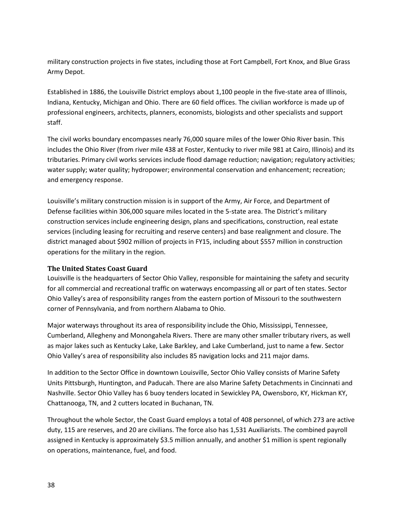military construction projects in five states, including those at Fort Campbell, Fort Knox, and Blue Grass Army Depot.

Established in 1886, the Louisville District employs about 1,100 people in the five-state area of Illinois, Indiana, Kentucky, Michigan and Ohio. There are 60 field offices. The civilian workforce is made up of professional engineers, architects, planners, economists, biologists and other specialists and support staff.

The civil works boundary encompasses nearly 76,000 square miles of the lower Ohio River basin. This includes the Ohio River (from river mile 438 at Foster, Kentucky to river mile 981 at Cairo, Illinois) and its tributaries. Primary civil works services include flood damage reduction; navigation; regulatory activities; water supply; water quality; hydropower; environmental conservation and enhancement; recreation; and emergency response.

Louisville's military construction mission is in support of the Army, Air Force, and Department of Defense facilities within 306,000 square miles located in the 5-state area. The District's military construction services include engineering design, plans and specifications, construction, real estate services (including leasing for recruiting and reserve centers) and base realignment and closure. The district managed about \$902 million of projects in FY15, including about \$557 million in construction operations for the military in the region.

#### <span id="page-40-0"></span>**The United States Coast Guard**

Louisville is the headquarters of Sector Ohio Valley, responsible for maintaining the safety and security for all commercial and recreational traffic on waterways encompassing all or part of ten states. Sector Ohio Valley's area of responsibility ranges from the eastern portion of Missouri to the southwestern corner of Pennsylvania, and from northern Alabama to Ohio.

Major waterways throughout its area of responsibility include the Ohio, Mississippi, Tennessee, Cumberland, Allegheny and Monongahela Rivers. There are many other smaller tributary rivers, as well as major lakes such as Kentucky Lake, Lake Barkley, and Lake Cumberland, just to name a few. Sector Ohio Valley's area of responsibility also includes 85 navigation locks and 211 major dams.

In addition to the Sector Office in downtown Louisville, Sector Ohio Valley consists of Marine Safety Units Pittsburgh, Huntington, and Paducah. There are also Marine Safety Detachments in Cincinnati and Nashville. Sector Ohio Valley has 6 buoy tenders located in Sewickley PA, Owensboro, KY, Hickman KY, Chattanooga, TN, and 2 cutters located in Buchanan, TN.

Throughout the whole Sector, the Coast Guard employs a total of 408 personnel, of which 273 are active duty, 115 are reserves, and 20 are civilians. The force also has 1,531 Auxiliarists. The combined payroll assigned in Kentucky is approximately \$3.5 million annually, and another \$1 million is spent regionally on operations, maintenance, fuel, and food.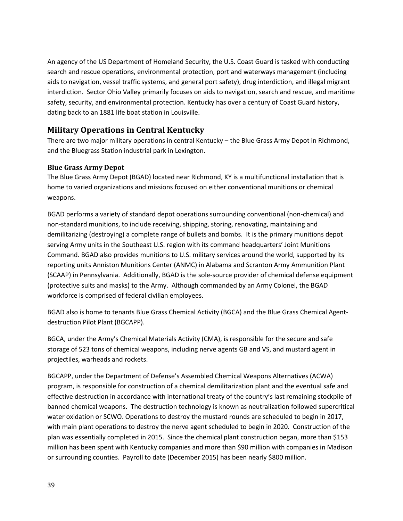An agency of the US Department of Homeland Security, the U.S. Coast Guard is tasked with conducting search and rescue operations, environmental protection, port and waterways management (including aids to navigation, vessel traffic systems, and general port safety), drug interdiction, and illegal migrant interdiction. Sector Ohio Valley primarily focuses on aids to navigation, search and rescue, and maritime safety, security, and environmental protection. Kentucky has over a century of Coast Guard history, dating back to an 1881 life boat station in Louisville.

## <span id="page-41-0"></span>**Military Operations in Central Kentucky**

There are two major military operations in central Kentucky – the Blue Grass Army Depot in Richmond, and the Bluegrass Station industrial park in Lexington.

#### <span id="page-41-1"></span>**Blue Grass Army Depot**

The Blue Grass Army Depot (BGAD) located near Richmond, KY is a multifunctional installation that is home to varied organizations and missions focused on either conventional munitions or chemical weapons.

BGAD performs a variety of standard depot operations surrounding conventional (non-chemical) and non-standard munitions, to include receiving, shipping, storing, renovating, maintaining and demilitarizing (destroying) a complete range of bullets and bombs. It is the primary munitions depot serving Army units in the Southeast U.S. region with its command headquarters' Joint Munitions Command. BGAD also provides munitions to U.S. military services around the world, supported by its reporting units Anniston Munitions Center (ANMC) in Alabama and Scranton Army Ammunition Plant (SCAAP) in Pennsylvania. Additionally, BGAD is the sole-source provider of chemical defense equipment (protective suits and masks) to the Army. Although commanded by an Army Colonel, the BGAD workforce is comprised of federal civilian employees.

BGAD also is home to tenants Blue Grass Chemical Activity (BGCA) and the Blue Grass Chemical Agentdestruction Pilot Plant (BGCAPP).

BGCA, under the Army's Chemical Materials Activity (CMA), is responsible for the secure and safe storage of 523 tons of chemical weapons, including nerve agents GB and VS, and mustard agent in projectiles, warheads and rockets.

BGCAPP, under the Department of Defense's Assembled Chemical Weapons Alternatives (ACWA) program, is responsible for construction of a chemical demilitarization plant and the eventual safe and effective destruction in accordance with international treaty of the country's last remaining stockpile of banned chemical weapons. The destruction technology is known as neutralization followed supercritical water oxidation or SCWO. Operations to destroy the mustard rounds are scheduled to begin in 2017, with main plant operations to destroy the nerve agent scheduled to begin in 2020. Construction of the plan was essentially completed in 2015. Since the chemical plant construction began, more than \$153 million has been spent with Kentucky companies and more than \$90 million with companies in Madison or surrounding counties. Payroll to date (December 2015) has been nearly \$800 million.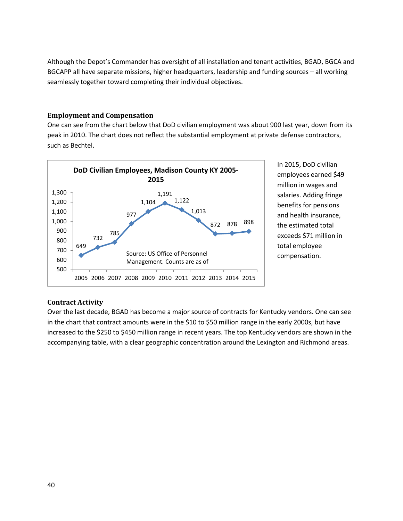Although the Depot's Commander has oversight of all installation and tenant activities, BGAD, BGCA and BGCAPP all have separate missions, higher headquarters, leadership and funding sources – all working seamlessly together toward completing their individual objectives.

#### <span id="page-42-0"></span>**Employment and Compensation**

One can see from the chart below that DoD civilian employment was about 900 last year, down from its peak in 2010. The chart does not reflect the substantial employment at private defense contractors, such as Bechtel.



In 2015, DoD civilian employees earned \$49 million in wages and salaries. Adding fringe benefits for pensions and health insurance, the estimated total exceeds \$71 million in total employee compensation.

#### <span id="page-42-1"></span>**Contract Activity**

Over the last decade, BGAD has become a major source of contracts for Kentucky vendors. One can see in the chart that contract amounts were in the \$10 to \$50 million range in the early 2000s, but have increased to the \$250 to \$450 million range in recent years. The top Kentucky vendors are shown in the accompanying table, with a clear geographic concentration around the Lexington and Richmond areas.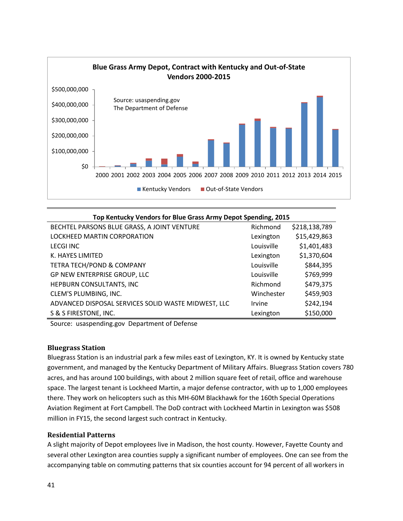

| Top Kentucky Vendors for Blue Grass Army Depot Spending, 2015 |            |               |  |
|---------------------------------------------------------------|------------|---------------|--|
| BECHTEL PARSONS BLUE GRASS, A JOINT VENTURE                   | Richmond   | \$218,138,789 |  |
| LOCKHEED MARTIN CORPORATION                                   | Lexington  | \$15,429,863  |  |
| <b>LECGI INC</b>                                              | Louisville | \$1,401,483   |  |
| K. HAYES LIMITED                                              | Lexington  | \$1,370,604   |  |
| <b>TETRA TECH/POND &amp; COMPANY</b>                          | Louisville | \$844,395     |  |
| GP NEW ENTERPRISE GROUP, LLC                                  | Louisville | \$769,999     |  |
| HEPBURN CONSULTANTS, INC                                      | Richmond   | \$479,375     |  |
| CLEM'S PLUMBING, INC.                                         | Winchester | \$459,903     |  |
| ADVANCED DISPOSAL SERVICES SOLID WASTE MIDWEST, LLC           | Irvine     | \$242,194     |  |
| S & S FIRESTONE, INC.                                         | Lexington  | \$150,000     |  |

Source: usaspending.gov Department of Defense

#### <span id="page-43-0"></span>**Bluegrass Station**

Bluegrass Station is an industrial park a few miles east of Lexington, KY. It is owned by Kentucky state government, and managed by the Kentucky Department of Military Affairs. Bluegrass Station covers 780 acres, and has around 100 buildings, with about 2 million square feet of retail, office and warehouse space. The largest tenant is Lockheed Martin, a major defense contractor, with up to 1,000 employees there. They work on helicopters such as this MH-60M Blackhawk for the 160th Special Operations Aviation Regiment at Fort Campbell. The DoD contract with Lockheed Martin in Lexington was \$508 million in FY15, the second largest such contract in Kentucky.

#### <span id="page-43-1"></span>**Residential Patterns**

A slight majority of Depot employees live in Madison, the host county. However, Fayette County and several other Lexington area counties supply a significant number of employees. One can see from the accompanying table on commuting patterns that six counties account for 94 percent of all workers in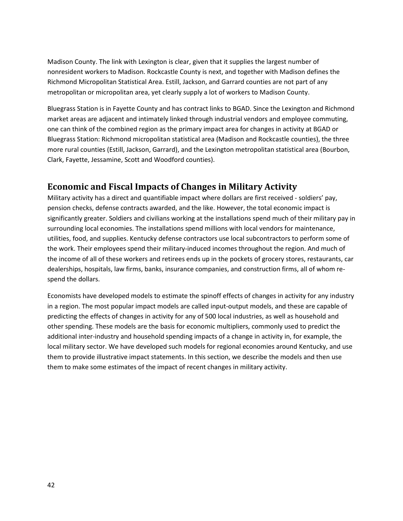Madison County. The link with Lexington is clear, given that it supplies the largest number of nonresident workers to Madison. Rockcastle County is next, and together with Madison defines the Richmond Micropolitan Statistical Area. Estill, Jackson, and Garrard counties are not part of any metropolitan or micropolitan area, yet clearly supply a lot of workers to Madison County.

Bluegrass Station is in Fayette County and has contract links to BGAD. Since the Lexington and Richmond market areas are adjacent and intimately linked through industrial vendors and employee commuting, one can think of the combined region as the primary impact area for changes in activity at BGAD or Bluegrass Station: Richmond micropolitan statistical area (Madison and Rockcastle counties), the three more rural counties (Estill, Jackson, Garrard), and the Lexington metropolitan statistical area (Bourbon, Clark, Fayette, Jessamine, Scott and Woodford counties).

## <span id="page-44-0"></span>**Economic and Fiscal Impacts of Changes in Military Activity**

Military activity has a direct and quantifiable impact where dollars are first received - soldiers' pay, pension checks, defense contracts awarded, and the like. However, the total economic impact is significantly greater. Soldiers and civilians working at the installations spend much of their military pay in surrounding local economies. The installations spend millions with local vendors for maintenance, utilities, food, and supplies. Kentucky defense contractors use local subcontractors to perform some of the work. Their employees spend their military-induced incomes throughout the region. And much of the income of all of these workers and retirees ends up in the pockets of grocery stores, restaurants, car dealerships, hospitals, law firms, banks, insurance companies, and construction firms, all of whom respend the dollars.

Economists have developed models to estimate the spinoff effects of changes in activity for any industry in a region. The most popular impact models are called input-output models, and these are capable of predicting the effects of changes in activity for any of 500 local industries, as well as household and other spending. These models are the basis for economic multipliers, commonly used to predict the additional inter-industry and household spending impacts of a change in activity in, for example, the local military sector. We have developed such models for regional economies around Kentucky, and use them to provide illustrative impact statements. In this section, we describe the models and then use them to make some estimates of the impact of recent changes in military activity.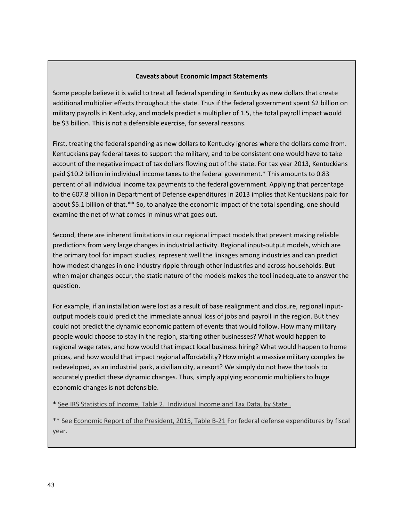#### **Caveats about Economic Impact Statements**

Some people believe it is valid to treat all federal spending in Kentucky as new dollars that create additional multiplier effects throughout the state. Thus if the federal government spent \$2 billion on military payrolls in Kentucky, and models predict a multiplier of 1.5, the total payroll impact would be \$3 billion. This is not a defensible exercise, for several reasons.

First, treating the federal spending as new dollars to Kentucky ignores where the dollars come from. Kentuckians pay federal taxes to support the military, and to be consistent one would have to take account of the negative impact of tax dollars flowing out of the state. For tax year 2013, Kentuckians paid \$10.2 billion in individual income taxes to the federal government.\* This amounts to 0.83 percent of all individual income tax payments to the federal government. Applying that percentage to the 607.8 billion in Department of Defense expenditures in 2013 implies that Kentuckians paid for about \$5.1 billion of that.\*\* So, to analyze the economic impact of the total spending, one should examine the net of what comes in minus what goes out.

Second, there are inherent limitations in our regional impact models that prevent making reliable predictions from very large changes in industrial activity. Regional input-output models, which are the primary tool for impact studies, represent well the linkages among industries and can predict how modest changes in one industry ripple through other industries and across households. But when major changes occur, the static nature of the models makes the tool inadequate to answer the question.

For example, if an installation were lost as a result of base realignment and closure, regional inputoutput models could predict the immediate annual loss of jobs and payroll in the region. But they could not predict the dynamic economic pattern of events that would follow. How many military people would choose to stay in the region, starting other businesses? What would happen to regional wage rates, and how would that impact local business hiring? What would happen to home prices, and how would that impact regional affordability? How might a massive military complex be redeveloped, as an industrial park, a civilian city, a resort? We simply do not have the tools to accurately predict these dynamic changes. Thus, simply applying economic multipliers to huge economic changes is not defensible.

\* [See IRS Statistics of Income, Table 2. Individual Income and Tax Data, by State](http://www.irs.gov/uac/SOI-Tax-Stats-Historic-Table-2) .

<span id="page-45-0"></span>\*\* See [Economic Report of the President, 2015, Table B-21](http://www.whitehouse.gov/sites/default/files/docs/2015_erp_appendix_b.pdf) For federal defense expenditures by fiscal year.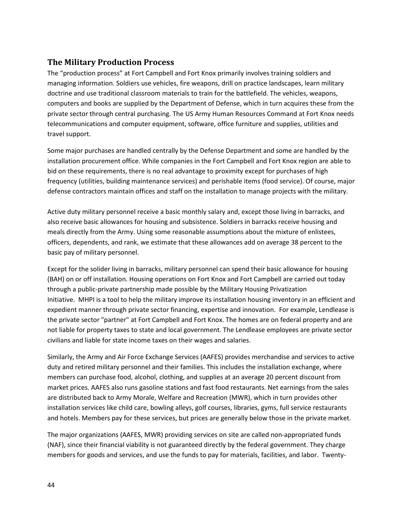## **The Military Production Process**

The "production process" at Fort Campbell and Fort Knox primarily involves training soldiers and managing information. Soldiers use vehicles, fire weapons, drill on practice landscapes, learn military doctrine and use traditional classroom materials to train for the battlefield. The vehicles, weapons, computers and books are supplied by the Department of Defense, which in turn acquires these from the private sector through central purchasing. The US Army Human Resources Command at Fort Knox needs telecommunications and computer equipment, software, office furniture and supplies, utilities and travel support.

Some major purchases are handled centrally by the Defense Department and some are handled by the installation procurement office. While companies in the Fort Campbell and Fort Knox region are able to bid on these requirements, there is no real advantage to proximity except for purchases of high frequency (utilities, building maintenance services) and perishable items (food service). Of course, major defense contractors maintain offices and staff on the installation to manage projects with the military.

Active duty military personnel receive a basic monthly salary and, except those living in barracks, and also receive basic allowances for housing and subsistence. Soldiers in barracks receive housing and meals directly from the Army. Using some reasonable assumptions about the mixture of enlistees, officers, dependents, and rank, we estimate that these allowances add on average 38 percent to the basic pay of military personnel.

Except for the solider living in barracks, military personnel can spend their basic allowance for housing (BAH) on or off installation. Housing operations on Fort Knox and Fort Campbell are carried out today through a public-private partnership made possible by the Military Housing Privatization Initiative. MHPI is a tool to help the military improve its installation housing inventory in an efficient and expedient manner through private sector financing, expertise and innovation. For example, Lendlease is the private sector "partner" at Fort Campbell and Fort Knox. The homes are on federal property and are not liable for property taxes to state and local government. The Lendlease employees are private sector civilians and liable for state income taxes on their wages and salaries.

Similarly, the Army and Air Force Exchange Services (AAFES) provides merchandise and services to active duty and retired military personnel and their families. This includes the installation exchange, where members can purchase food, alcohol, clothing, and supplies at an average 20 percent discount from market prices. AAFES also runs gasoline stations and fast food restaurants. Net earnings from the sales are distributed back to Army Morale, Welfare and Recreation (MWR), which in turn provides other installation services like child care, bowling alleys, golf courses, libraries, gyms, full service restaurants and hotels. Members pay for these services, but prices are generally below those in the private market.

The major organizations (AAFES, MWR) providing services on site are called non-appropriated funds (NAF), since their financial viability is not guaranteed directly by the federal government. They charge members for goods and services, and use the funds to pay for materials, facilities, and labor. Twenty-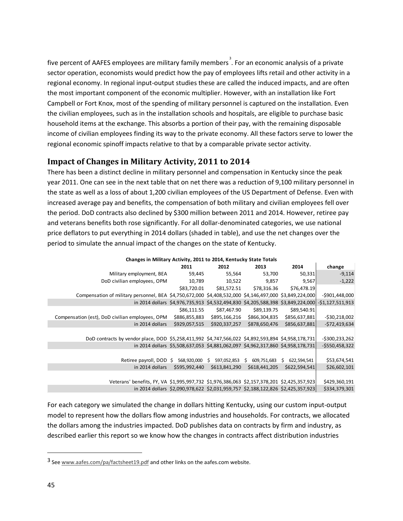five percent of AAFES employees are military family members<sup>[3](#page-47-1)</sup>. For an economic analysis of a private sector operation, economists would predict how the pay of employees lifts retail and other activity in a regional economy. In regional input-output studies these are called the induced impacts, and are often the most important component of the economic multiplier. However, with an installation like Fort Campbell or Fort Knox, most of the spending of military personnel is captured on the installation. Even the civilian employees, such as in the installation schools and hospitals, are eligible to purchase basic household items at the exchange. This absorbs a portion of their pay, with the remaining disposable income of civilian employees finding its way to the private economy. All these factors serve to lower the regional economic spinoff impacts relative to that by a comparable private sector activity.

## <span id="page-47-0"></span>**Impact of Changes in Military Activity, 2011 to 2014**

There has been a distinct decline in military personnel and compensation in Kentucky since the peak year 2011. One can see in the next table that on net there was a reduction of 9,100 military personnel in the state as well as a loss of about 1,200 civilian employees of the US Department of Defense. Even with increased average pay and benefits, the compensation of both military and civilian employees fell over the period. DoD contracts also declined by \$300 million between 2011 and 2014. However, retiree pay and veterans benefits both rose significantly. For all dollar-denominated categories, we use national price deflators to put everything in 2014 dollars (shaded in table), and use the net changes over the period to simulate the annual impact of the changes on the state of Kentucky.

|                                                                                                         | 2011          | 2012                                                                            | 2013              | 2014              | change            |
|---------------------------------------------------------------------------------------------------------|---------------|---------------------------------------------------------------------------------|-------------------|-------------------|-------------------|
| Military employment, BEA                                                                                | 59,445        | 55,564                                                                          | 53,700            | 50,331            | $-9,114$          |
| DoD civilian employees, OPM                                                                             | 10,789        | 10,522                                                                          | 9,857             | 9,567             | $-1,222$          |
|                                                                                                         | \$83,720.01   | \$81,572.51                                                                     | \$78,316.36       | \$76,478.19       |                   |
| Compensation of military personnel, BEA \$4,750,672,000 \$4,408,532,000 \$4,146,497,000 \$3,849,224,000 |               |                                                                                 |                   |                   | $-$ \$901,448,000 |
|                                                                                                         |               | in 2014 dollars \$4,976,735,913 \$4,532,494,830 \$4,205,588,398 \$3,849,224,000 |                   |                   | $-$1,127,511,913$ |
|                                                                                                         | \$86,111.55   | \$87,467.90                                                                     | \$89,139.75       | \$89,540.91       |                   |
| Compensation (est), DoD civilian employees, OPM                                                         | \$886,855,883 | \$895,166,216                                                                   | \$866,304,835     | \$856,637,881     | $-$ \$30,218,002  |
| in 2014 dollars                                                                                         | \$929,057,515 | \$920,337,257                                                                   | \$878,650,476     | \$856,637,881     | $-$72,419,634$    |
|                                                                                                         |               |                                                                                 |                   |                   |                   |
| DoD contracts by vendor place, DOD \$5,258,411,992 \$4,747,566,022 \$4,892,593,894 \$4,958,178,731      |               |                                                                                 |                   |                   | $-$ \$300,233,262 |
|                                                                                                         |               | in 2014 dollars \$5,508,637,053 \$4,881,062,097 \$4,962,317,860 \$4,958,178,731 |                   |                   | $-$ \$550,458,322 |
|                                                                                                         |               |                                                                                 |                   |                   |                   |
| Retiree payroll, $DOD \S$                                                                               | 568,920,000   | 597,052,853<br>Ś.                                                               | 609,751,683<br>\$ | 622,594,541<br>S. | \$53,674,541      |
| in 2014 dollars                                                                                         | \$595,992,440 | \$613,841,290                                                                   | \$618,441,205     | \$622,594,541     | \$26,602,101      |
|                                                                                                         |               |                                                                                 |                   |                   |                   |
| Veterans' benefits, FY, VA \$1,995,997,732 \$1,976,386,063 \$2,157,378,201 \$2,425,357,923              |               |                                                                                 |                   |                   | \$429,360,191     |
|                                                                                                         |               | in 2014 dollars \$2,090,978,622 \$2,031,959,757 \$2,188,122,826 \$2,425,357,923 |                   |                   | \$334,379,301     |

## **Changes in Military Activity, 2011 to 2014, Kentucky State Totals**

For each category we simulated the change in dollars hitting Kentucky, using our custom input-output model to represent how the dollars flow among industries and households. For contracts, we allocated the dollars among the industries impacted. DoD publishes data on contracts by firm and industry, as described earlier this report so we know how the changes in contracts affect distribution industries

l

<span id="page-47-1"></span><sup>3</sup> Se[e www.aafes.com/pa/factsheet19.pdf](http://www.aafes.com/pa/factsheet19.pdf) and other links on the aafes.com website.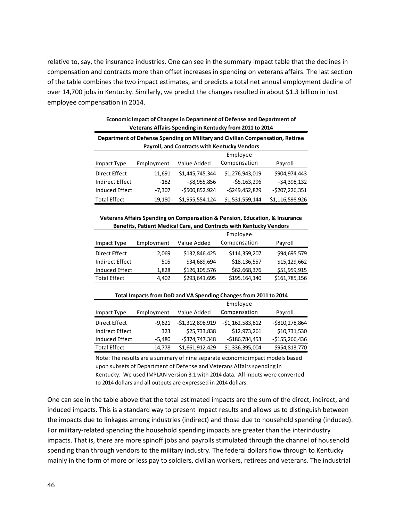relative to, say, the insurance industries. One can see in the summary impact table that the declines in compensation and contracts more than offset increases in spending on veterans affairs. The last section of the table combines the two impact estimates, and predicts a total net annual employment decline of over 14,700 jobs in Kentucky. Similarly, we predict the changes resulted in about \$1.3 billion in lost employee compensation in 2014.

|                                                                               | Veterans Affairs Spending in Kentucky from 2011 to 2014 |                                              |                   |                   |  |
|-------------------------------------------------------------------------------|---------------------------------------------------------|----------------------------------------------|-------------------|-------------------|--|
| Department of Defense Spending on Military and Civilian Compensation, Retiree |                                                         |                                              |                   |                   |  |
|                                                                               |                                                         | Payroll, and Contracts with Kentucky Vendors |                   |                   |  |
| Employee                                                                      |                                                         |                                              |                   |                   |  |
| Impact Type                                                                   | Employment                                              | Value Added                                  | Compensation      | Payroll           |  |
| Direct Effect                                                                 | $-11,691$                                               | $-$1,445,745,344$                            | $-$1,276,943,019$ | $-$ \$904,974,443 |  |
| Indirect Effect                                                               | $-182$                                                  | $-$ \$8,955,856                              | $-55, 163, 296$   | $-54,398,132$     |  |
| Induced Effect                                                                | $-7,307$                                                | $-$ \$500,852,924                            | $-$ \$249,452,829 | $-$ \$207,226,351 |  |
| <b>Total Effect</b>                                                           | $-19.180$                                               | $-51,955,554,124$                            | $-51,531,559,144$ | $-$1,116,598,926$ |  |

#### **Economic Impact of Changes in Department of Defense and Department of Veterans Affairs Spending in Kentucky from 2011 to 2014**

#### **Veterans Affairs Spending on Compensation & Pension, Education, & Insurance Benefits, Patient Medical Care, and Contracts with Kentucky Vendors**

|                        |            |               | Employee      |               |
|------------------------|------------|---------------|---------------|---------------|
| Impact Type            | Employment | Value Added   | Compensation  | Payroll       |
| Direct Effect          | 2,069      | \$132,846,425 | \$114,359,207 | \$94,695,579  |
| <b>Indirect Effect</b> | 505        | \$34,689,694  | \$18,136,557  | \$15,129,662  |
| Induced Effect         | 1,828      | \$126,105,576 | \$62,668,376  | \$51,959,915  |
| <b>Total Effect</b>    | 4,402      | \$293,641,695 | \$195,164,140 | \$161,785,156 |

| Total Impacts from DoD and VA Spending Changes from 2011 to 2014 |            |                   |                   |                   |  |
|------------------------------------------------------------------|------------|-------------------|-------------------|-------------------|--|
|                                                                  |            | Employee          |                   |                   |  |
| Impact Type                                                      | Employment | Value Added       | Compensation      | Payroll           |  |
| Direct Effect                                                    | $-9.621$   | $-51,312,898,919$ | $-51,162,583,812$ | $-$ \$810,278,864 |  |
| <b>Indirect Effect</b>                                           | 323        | \$25,733,838      | \$12,973,261      | \$10,731,530      |  |
| Induced Effect                                                   | $-5,480$   | $-5374,747,348$   | $-$186,784,453$   | $-$155,266,436$   |  |
| <b>Total Effect</b>                                              | $-14,778$  | $-$1,661,912,429$ | $-$1,336,395,004$ | $-$ \$954,813,770 |  |

Note: The results are a summary of nine separate economic impact models based upon subsets of Department of Defense and Veterans Affairs spending in Kentucky. We used IMPLAN version 3.1 with 2014 data. All inputs were converted to 2014 dollars and all outputs are expressed in 2014 dollars.

One can see in the table above that the total estimated impacts are the sum of the direct, indirect, and induced impacts. This is a standard way to present impact results and allows us to distinguish between the impacts due to linkages among industries (indirect) and those due to household spending (induced). For military-related spending the household spending impacts are greater than the interindustry impacts. That is, there are more spinoff jobs and payrolls stimulated through the channel of household spending than through vendors to the military industry. The federal dollars flow through to Kentucky mainly in the form of more or less pay to soldiers, civilian workers, retirees and veterans. The industrial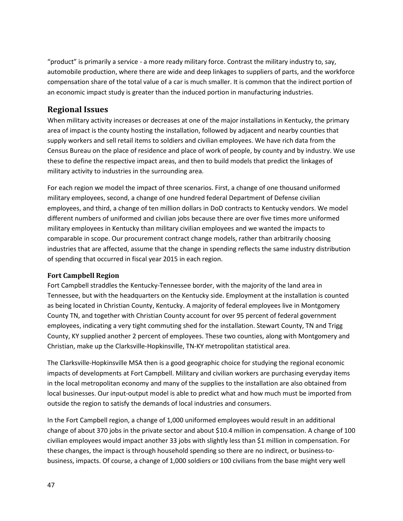"product" is primarily a service - a more ready military force. Contrast the military industry to, say, automobile production, where there are wide and deep linkages to suppliers of parts, and the workforce compensation share of the total value of a car is much smaller. It is common that the indirect portion of an economic impact study is greater than the induced portion in manufacturing industries.

## <span id="page-49-0"></span>**Regional Issues**

When military activity increases or decreases at one of the major installations in Kentucky, the primary area of impact is the county hosting the installation, followed by adjacent and nearby counties that supply workers and sell retail items to soldiers and civilian employees. We have rich data from the Census Bureau on the place of residence and place of work of people, by county and by industry. We use these to define the respective impact areas, and then to build models that predict the linkages of military activity to industries in the surrounding area.

For each region we model the impact of three scenarios. First, a change of one thousand uniformed military employees, second, a change of one hundred federal Department of Defense civilian employees, and third, a change of ten million dollars in DoD contracts to Kentucky vendors. We model different numbers of uniformed and civilian jobs because there are over five times more uniformed military employees in Kentucky than military civilian employees and we wanted the impacts to comparable in scope. Our procurement contract change models, rather than arbitrarily choosing industries that are affected, assume that the change in spending reflects the same industry distribution of spending that occurred in fiscal year 2015 in each region.

#### <span id="page-49-1"></span>**Fort Campbell Region**

Fort Campbell straddles the Kentucky-Tennessee border, with the majority of the land area in Tennessee, but with the headquarters on the Kentucky side. Employment at the installation is counted as being located in Christian County, Kentucky. A majority of federal employees live in Montgomery County TN, and together with Christian County account for over 95 percent of federal government employees, indicating a very tight commuting shed for the installation. Stewart County, TN and Trigg County, KY supplied another 2 percent of employees. These two counties, along with Montgomery and Christian, make up the Clarksville-Hopkinsville, TN-KY metropolitan statistical area.

The Clarksville-Hopkinsville MSA then is a good geographic choice for studying the regional economic impacts of developments at Fort Campbell. Military and civilian workers are purchasing everyday items in the local metropolitan economy and many of the supplies to the installation are also obtained from local businesses. Our input-output model is able to predict what and how much must be imported from outside the region to satisfy the demands of local industries and consumers.

In the Fort Campbell region, a change of 1,000 uniformed employees would result in an additional change of about 370 jobs in the private sector and about \$10.4 million in compensation. A change of 100 civilian employees would impact another 33 jobs with slightly less than \$1 million in compensation. For these changes, the impact is through household spending so there are no indirect, or business-tobusiness, impacts. Of course, a change of 1,000 soldiers or 100 civilians from the base might very well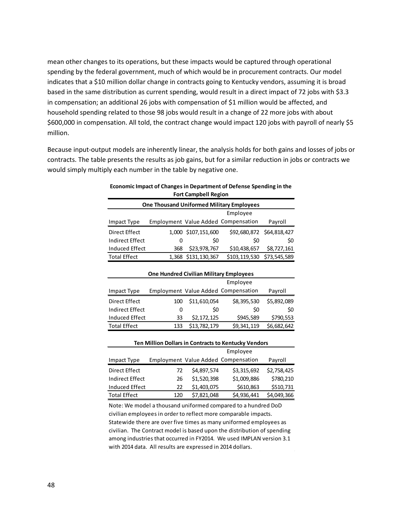mean other changes to its operations, but these impacts would be captured through operational spending by the federal government, much of which would be in procurement contracts. Our model indicates that a \$10 million dollar change in contracts going to Kentucky vendors, assuming it is broad based in the same distribution as current spending, would result in a direct impact of 72 jobs with \$3.3 in compensation; an additional 26 jobs with compensation of \$1 million would be affected, and household spending related to those 98 jobs would result in a change of 22 more jobs with about \$600,000 in compensation. All told, the contract change would impact 120 jobs with payroll of nearly \$5 million.

Because input-output models are inherently linear, the analysis holds for both gains and losses of jobs or contracts. The table presents the results as job gains, but for a similar reduction in jobs or contracts we would simply multiply each number in the table by negative one.

| Economic Impact of Changes in Department of Defense Spending in the |
|---------------------------------------------------------------------|
| <b>Fort Campbell Region</b>                                         |

| <b>One Thousand Uniformed Military Employees</b> |     |                     |                                     |                           |
|--------------------------------------------------|-----|---------------------|-------------------------------------|---------------------------|
|                                                  |     |                     | Employee                            |                           |
| Impact Type                                      |     |                     | Employment Value Added Compensation | Payroll                   |
| Direct Effect                                    |     | 1,000 \$107,151,600 |                                     | \$92,680,872 \$64,818,427 |
| <b>Indirect Effect</b>                           | 0   | S0                  | S0                                  | SO.                       |
| Induced Effect                                   | 368 | \$23,978,767        | \$10,438,657                        | \$8,727,161               |
| <b>Total Effect</b>                              |     | 1,368 \$131,130,367 | \$103,119,530                       | \$73,545,589              |

| <b>One Hundred Civilian Military Employees</b> |          |              |                                     |             |
|------------------------------------------------|----------|--------------|-------------------------------------|-------------|
|                                                | Employee |              |                                     |             |
| Impact Type                                    |          |              | Employment Value Added Compensation | Payroll     |
| Direct Effect                                  | 100      | \$11,610,054 | \$8,395,530                         | \$5,892,089 |
| <b>Indirect Effect</b>                         | 0        | \$0          | \$0                                 | \$0         |
| Induced Effect                                 | 33       | \$2,172,125  | \$945,589                           | \$790,553   |
| <b>Total Effect</b>                            | 133      | \$13,782,179 | \$9,341,119                         | \$6,682,642 |

| <b>Ten Million Dollars in Contracts to Kentucky Vendors</b> |     |             |                                     |             |
|-------------------------------------------------------------|-----|-------------|-------------------------------------|-------------|
|                                                             |     |             | Employee                            |             |
| Impact Type                                                 |     |             | Employment Value Added Compensation | Payroll     |
| Direct Effect                                               | 72  | \$4,897,574 | \$3,315,692                         | \$2,758,425 |
| Indirect Effect                                             | 26  | \$1,520,398 | \$1,009,886                         | \$780,210   |
| Induced Effect                                              | 22  | \$1,403,075 | \$610,863                           | \$510,731   |
| <b>Total Effect</b>                                         | 120 | \$7,821,048 | \$4,936,441                         | \$4,049,366 |

Note: We model a thousand uniformed compared to a hundred DoD civilian employees in order to reflect more comparable impacts. Statewide there are over five times as many uniformed employees as civilian. The Contract model is based upon the distribution of spending among industries that occurred in FY2014. We used IMPLAN version 3.1 with 2014 data. All results are expressed in 2014 dollars.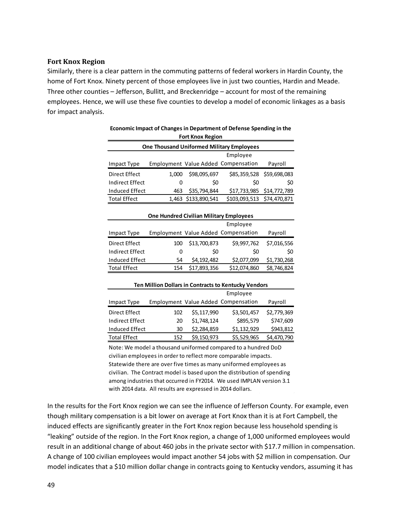#### <span id="page-51-0"></span>**Fort Knox Region**

Similarly, there is a clear pattern in the commuting patterns of federal workers in Hardin County, the home of Fort Knox. Ninety percent of those employees live in just two counties, Hardin and Meade. Three other counties – Jefferson, Bullitt, and Breckenridge – account for most of the remaining employees. Hence, we will use these five counties to develop a model of economic linkages as a basis for impact analysis.

| <b>Fort Knox Region</b>                          |              |                     |                                     |         |
|--------------------------------------------------|--------------|---------------------|-------------------------------------|---------|
| <b>One Thousand Uniformed Military Employees</b> |              |                     |                                     |         |
|                                                  |              |                     | Employee                            |         |
| Impact Type                                      |              |                     | Employment Value Added Compensation | Payroll |
| Direct Effect                                    | 1.000        | \$98,095,697        | \$85,359,528 \$59,698,083           |         |
| Indirect Effect                                  | $\mathbf{0}$ | \$0                 | S0                                  | \$0     |
| Induced Effect                                   | 463          | \$35,794,844        | \$17,733,985 \$14,772,789           |         |
| <b>Total Effect</b>                              |              | 1,463 \$133,890,541 | \$103,093,513 \$74,470,871          |         |

#### **Economic Impact of Changes in Department of Defense Spending in the Fort Knox Region**

| <b>One Hundred Civilian Military Employees</b> |              |              |                                     |             |  |
|------------------------------------------------|--------------|--------------|-------------------------------------|-------------|--|
|                                                | Employee     |              |                                     |             |  |
| Impact Type                                    |              |              | Employment Value Added Compensation | Payroll     |  |
| Direct Effect                                  | 100          | \$13,700,873 | \$9,997,762                         | \$7,016,556 |  |
| <b>Indirect Effect</b>                         | $\mathbf{0}$ | S0           | \$0                                 | \$0         |  |
| Induced Effect                                 | 54           | \$4,192,482  | \$2,077,099                         | \$1,730,268 |  |
| <b>Total Effect</b>                            | 154          | \$17,893,356 | \$12,074,860                        | \$8,746,824 |  |
|                                                |              |              |                                     |             |  |

#### Impact Type Employment Value Added Compensation Payroll Employee **Ten Million Dollars in Contracts to Kentucky Vendors**

| Direct Effect   | 102 | \$5,117,990 | \$3,501,457 | \$2,779,369 |
|-----------------|-----|-------------|-------------|-------------|
| Indirect Effect | 20  | \$1,748,124 | \$895,579   | \$747,609   |
| Induced Effect  | 30  | \$2,284,859 | \$1,132,929 | \$943,812   |
| Total Effect    | 152 | \$9,150,973 | \$5,529,965 | \$4,470,790 |

Note: We model a thousand uniformed compared to a hundred DoD civilian employees in order to reflect more comparable impacts. Statewide there are over five times as many uniformed employees as civilian. The Contract model is based upon the distribution of spending among industries that occurred in FY2014. We used IMPLAN version 3.1 with 2014 data. All results are expressed in 2014 dollars.

In the results for the Fort Knox region we can see the influence of Jefferson County. For example, even though military compensation is a bit lower on average at Fort Knox than it is at Fort Campbell, the induced effects are significantly greater in the Fort Knox region because less household spending is "leaking" outside of the region. In the Fort Knox region, a change of 1,000 uniformed employees would result in an additional change of about 460 jobs in the private sector with \$17.7 million in compensation. A change of 100 civilian employees would impact another 54 jobs with \$2 million in compensation. Our model indicates that a \$10 million dollar change in contracts going to Kentucky vendors, assuming it has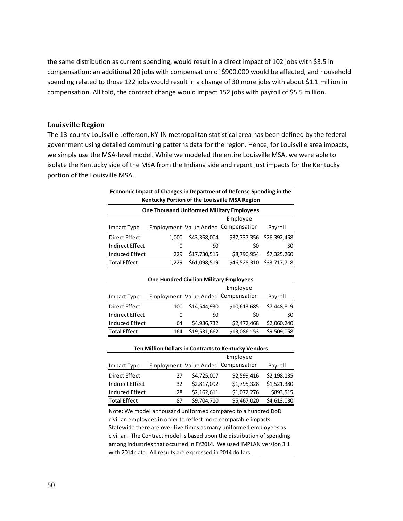the same distribution as current spending, would result in a direct impact of 102 jobs with \$3.5 in compensation; an additional 20 jobs with compensation of \$900,000 would be affected, and household spending related to those 122 jobs would result in a change of 30 more jobs with about \$1.1 million in compensation. All told, the contract change would impact 152 jobs with payroll of \$5.5 million.

#### <span id="page-52-0"></span>**Louisville Region**

The 13-county Louisville-Jefferson, KY-IN metropolitan statistical area has been defined by the federal government using detailed commuting patterns data for the region. Hence, for Louisville area impacts, we simply use the MSA-level model. While we modeled the entire Louisville MSA, we were able to isolate the Kentucky side of the MSA from the Indiana side and report just impacts for the Kentucky portion of the Louisville MSA.

| <b>One Thousand Uniformed Military Employees</b> |          |                                                |                                                      |              |
|--------------------------------------------------|----------|------------------------------------------------|------------------------------------------------------|--------------|
|                                                  | Employee |                                                |                                                      |              |
| <b>Impact Type</b>                               |          |                                                | <b>Employment Value Added Compensation</b>           | Payroll      |
| Direct Effect                                    | 1,000    | \$43,368,004                                   | \$37,737,356                                         | \$26,392,458 |
| <b>Indirect Effect</b>                           | 0        | \$0                                            | \$0                                                  | \$0          |
| <b>Induced Effect</b>                            | 229      | \$17,730,515                                   | \$8,790,954                                          | \$7,325,260  |
| <b>Total Effect</b>                              | 1,229    | \$61,098,519                                   | \$46,528,310                                         | \$33,717,718 |
|                                                  |          |                                                |                                                      |              |
|                                                  |          | <b>One Hundred Civilian Military Employees</b> |                                                      |              |
|                                                  |          |                                                | Employee                                             |              |
| <b>Impact Type</b>                               |          |                                                | Employment Value Added Compensation                  | Payroll      |
| <b>Direct Effect</b>                             | 100      | \$14,544,930                                   | \$10,613,685                                         | \$7,448,819  |
| <b>Indirect Effect</b>                           | 0        | \$0                                            | \$0                                                  | \$0          |
| <b>Induced Effect</b>                            | 64       | \$4,986,732                                    | \$2,472,468                                          | \$2,060,240  |
| <b>Total Effect</b>                              | 164      | \$19,531,662                                   | \$13,086,153                                         | \$9,509,058  |
|                                                  |          |                                                |                                                      |              |
|                                                  |          |                                                | Ten Million Dollars in Contracts to Kentucky Vendors |              |
|                                                  |          |                                                | Employee                                             |              |
| <b>Impact Type</b>                               |          |                                                | Employment Value Added Compensation                  | Payroll      |
| Direct Effect                                    | 27       | \$4,725,007                                    | \$2,599,416                                          | \$2,198,135  |
| <b>Indirect Effect</b>                           | 32       | \$2,817,092                                    | \$1,795,328                                          | \$1,521,380  |
| Induced Effect                                   | 28       | \$2,162,611                                    | \$1,072,276                                          | \$893,515    |
| <b>Total Effect</b>                              | 87       | \$9,704,710                                    | \$5,467,020                                          | \$4,613,030  |

#### **Economic Impact of Changes in Department of Defense Spending in the Kentucky Portion of the Louisville MSA Region**

Note: We model a thousand uniformed compared to a hundred DoD civilian employees in order to reflect more comparable impacts. Statewide there are over five times as many uniformed employees as civilian. The Contract model is based upon the distribution of spending among industries that occurred in FY2014. We used IMPLAN version 3.1 with 2014 data. All results are expressed in 2014 dollars.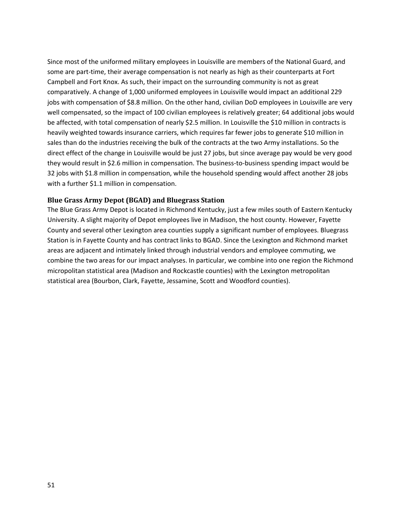Since most of the uniformed military employees in Louisville are members of the National Guard, and some are part-time, their average compensation is not nearly as high as their counterparts at Fort Campbell and Fort Knox. As such, their impact on the surrounding community is not as great comparatively. A change of 1,000 uniformed employees in Louisville would impact an additional 229 jobs with compensation of \$8.8 million. On the other hand, civilian DoD employees in Louisville are very well compensated, so the impact of 100 civilian employees is relatively greater; 64 additional jobs would be affected, with total compensation of nearly \$2.5 million. In Louisville the \$10 million in contracts is heavily weighted towards insurance carriers, which requires far fewer jobs to generate \$10 million in sales than do the industries receiving the bulk of the contracts at the two Army installations. So the direct effect of the change in Louisville would be just 27 jobs, but since average pay would be very good they would result in \$2.6 million in compensation. The business-to-business spending impact would be 32 jobs with \$1.8 million in compensation, while the household spending would affect another 28 jobs with a further \$1.1 million in compensation.

#### <span id="page-53-0"></span>**Blue Grass Army Depot (BGAD) and Bluegrass Station**

The Blue Grass Army Depot is located in Richmond Kentucky, just a few miles south of Eastern Kentucky University. A slight majority of Depot employees live in Madison, the host county. However, Fayette County and several other Lexington area counties supply a significant number of employees. Bluegrass Station is in Fayette County and has contract links to BGAD. Since the Lexington and Richmond market areas are adjacent and intimately linked through industrial vendors and employee commuting, we combine the two areas for our impact analyses. In particular, we combine into one region the Richmond micropolitan statistical area (Madison and Rockcastle counties) with the Lexington metropolitan statistical area (Bourbon, Clark, Fayette, Jessamine, Scott and Woodford counties).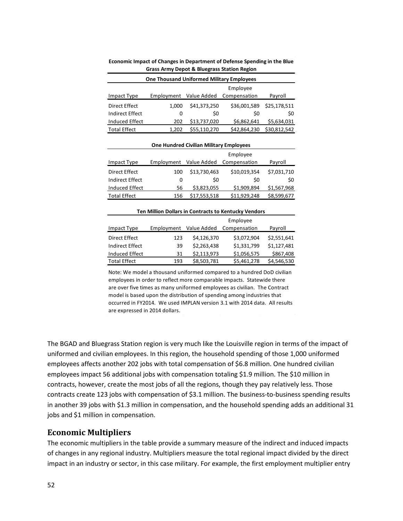| <b>One Thousand Uniformed Military Employees</b> |              |              |              |  |
|--------------------------------------------------|--------------|--------------|--------------|--|
|                                                  |              | Employee     |              |  |
| Employment                                       | Value Added  | Compensation | Payroll      |  |
| 1.000                                            | \$41,373,250 | \$36,001,589 | \$25,178,511 |  |
| O                                                | \$0          | S0           | \$0          |  |
| 202                                              | \$13,737,020 | \$6,862,641  | \$5,634,031  |  |
| 1,202                                            | \$55,110,270 | \$42,864,230 | \$30,812,542 |  |
|                                                  |              |              |              |  |

**Economic Impact of Changes in Department of Defense Spending in the Blue Grass Army Depot & Bluegrass Station Region**

| <b>Direct Effect</b>                                 | 100 | \$13,730,463 | \$10,019,354 | \$7,031,710 |  |  |
|------------------------------------------------------|-----|--------------|--------------|-------------|--|--|
| <b>Indirect Effect</b>                               | 0   | \$0          | \$0          | \$0         |  |  |
| Induced Effect                                       | 56  | \$3,823,055  | \$1,909,894  | \$1,567,968 |  |  |
| <b>Total Effect</b>                                  | 156 | \$17,553,518 | \$11,929,248 | \$8,599,677 |  |  |
| Ten Million Dollars in Contracts to Kentucky Vendors |     |              |              |             |  |  |
| Employee                                             |     |              |              |             |  |  |

Impact Type Employment Value Added Compensation Payroll

**One Hundred Civilian Military Employees**

Employee

|                        |            |             | Employee     |             |
|------------------------|------------|-------------|--------------|-------------|
| Impact Type            | Employment | Value Added | Compensation | Payroll     |
| Direct Effect          | 123        | \$4,126,370 | \$3,072,904  | \$2,551,641 |
| <b>Indirect Effect</b> | 39         | \$2,263,438 | \$1,331,799  | \$1.127.481 |
| Induced Effect         | 31         | \$2,113,973 | \$1,056,575  | \$867,408   |
| <b>Total Effect</b>    | 193        | \$8,503,781 | \$5,461,278  | \$4,546,530 |

Note: We model a thousand uniformed compared to a hundred DoD civilian employees in order to reflect more comparable impacts. Statewide there are over five times as many uniformed employees as civilian. The Contract model is based upon the distribution of spending among industries that occurred in FY2014. We used IMPLAN version 3.1 with 2014 data. All results are expressed in 2014 dollars.

The BGAD and Bluegrass Station region is very much like the Louisville region in terms of the impact of uniformed and civilian employees. In this region, the household spending of those 1,000 uniformed employees affects another 202 jobs with total compensation of \$6.8 million. One hundred civilian employees impact 56 additional jobs with compensation totaling \$1.9 million. The \$10 million in contracts, however, create the most jobs of all the regions, though they pay relatively less. Those contracts create 123 jobs with compensation of \$3.1 million. The business-to-business spending results in another 39 jobs with \$1.3 million in compensation, and the household spending adds an additional 31 jobs and \$1 million in compensation.

#### <span id="page-54-0"></span>**Economic Multipliers**

The economic multipliers in the table provide a summary measure of the indirect and induced impacts of changes in any regional industry. Multipliers measure the total regional impact divided by the direct impact in an industry or sector, in this case military. For example, the first employment multiplier entry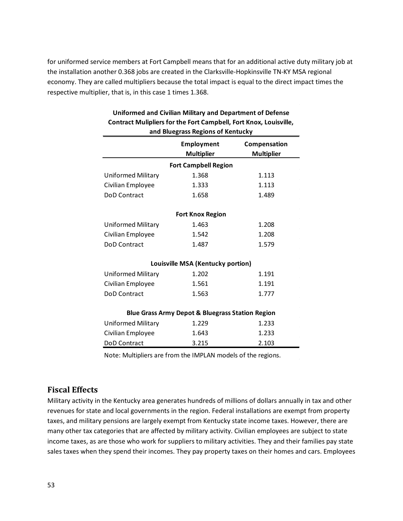for uniformed service members at Fort Campbell means that for an additional active duty military job at the installation another 0.368 jobs are created in the Clarksville-Hopkinsville TN-KY MSA regional economy. They are called multipliers because the total impact is equal to the direct impact times the respective multiplier, that is, in this case 1 times 1.368.

| Contract Munphers for the Fort Campbell, Fort Knox, Louisville,<br>and Bluegrass Regions of Kentucky |                                   |                                   |  |  |  |  |
|------------------------------------------------------------------------------------------------------|-----------------------------------|-----------------------------------|--|--|--|--|
|                                                                                                      | Employment<br><b>Multiplier</b>   | Compensation<br><b>Multiplier</b> |  |  |  |  |
|                                                                                                      | <b>Fort Campbell Region</b>       |                                   |  |  |  |  |
| <b>Uniformed Military</b>                                                                            | 1.368                             | 1.113                             |  |  |  |  |
| Civilian Employee                                                                                    | 1.333                             | 1.113                             |  |  |  |  |
| DoD Contract                                                                                         | 1.658                             | 1.489                             |  |  |  |  |
|                                                                                                      | <b>Fort Knox Region</b>           |                                   |  |  |  |  |
| <b>Uniformed Military</b>                                                                            | 1.463                             | 1.208                             |  |  |  |  |
| Civilian Employee                                                                                    | 1.542                             | 1.208                             |  |  |  |  |
| <b>DoD Contract</b>                                                                                  | 1.487                             | 1.579                             |  |  |  |  |
|                                                                                                      | Louisville MSA (Kentucky portion) |                                   |  |  |  |  |
| <b>Uniformed Military</b>                                                                            | 1.202                             | 1.191                             |  |  |  |  |
| Civilian Employee                                                                                    | 1.561                             | 1.191                             |  |  |  |  |
| <b>DoD Contract</b>                                                                                  | 1.563                             | 1.777                             |  |  |  |  |
| <b>Blue Grass Army Depot &amp; Bluegrass Station Region</b>                                          |                                   |                                   |  |  |  |  |
| <b>Uniformed Military</b>                                                                            | 1.229                             | 1.233                             |  |  |  |  |
| Civilian Employee                                                                                    | 1.643                             | 1.233                             |  |  |  |  |
| <b>DoD Contract</b>                                                                                  | 3.215                             | 2.103                             |  |  |  |  |

# **Uniformed and Civilian Military and Department of Defense Contract Mulipliers for the Fort Campbell, Fort Knox, Louisville,**

Note: Multipliers are from the IMPLAN models of the regions.

#### <span id="page-55-0"></span>**Fiscal Effects**

Military activity in the Kentucky area generates hundreds of millions of dollars annually in tax and other revenues for state and local governments in the region. Federal installations are exempt from property taxes, and military pensions are largely exempt from Kentucky state income taxes. However, there are many other tax categories that are affected by military activity. Civilian employees are subject to state income taxes, as are those who work for suppliers to military activities. They and their families pay state sales taxes when they spend their incomes. They pay property taxes on their homes and cars. Employees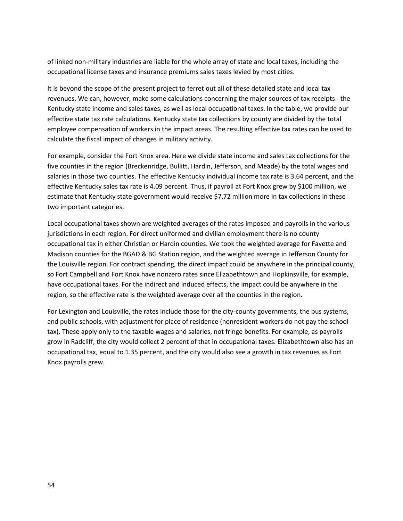of linked non-military industries are liable for the whole array of state and local taxes, including the occupational license taxes and insurance premiums sales taxes levied by most cities.

It is beyond the scope of the present project to ferret out all of these detailed state and local tax revenues. We can, however, make some calculations concerning the major sources of tax receipts - the Kentucky state income and sales taxes, as well as local occupational taxes. In the table, we provide our effective state tax rate calculations. Kentucky state tax collections by county are divided by the total employee compensation of workers in the impact areas. The resulting effective tax rates can be used to calculate the fiscal impact of changes in military activity.

For example, consider the Fort Knox area. Here we divide state income and sales tax collections for the five counties in the region (Breckenridge, Bullitt, Hardin, Jefferson, and Meade) by the total wages and salaries in those two counties. The effective Kentucky individual income tax rate is 3.64 percent, and the effective Kentucky sales tax rate is 4.09 percent. Thus, if payroll at Fort Knox grew by \$100 million, we estimate that Kentucky state government would receive \$7.72 million more in tax collections in these two important categories.

Local occupational taxes shown are weighted averages of the rates imposed and payrolls in the various jurisdictions in each region. For direct uniformed and civilian employment there is no county occupational tax in either Christian or Hardin counties. We took the weighted average for Fayette and Madison counties for the BGAD & BG Station region, and the weighted average in Jefferson County for the Louisville region. For contract spending, the direct impact could be anywhere in the principal county, so Fort Campbell and Fort Knox have nonzero rates since Elizabethtown and Hopkinsville, for example, have occupational taxes. For the indirect and induced effects, the impact could be anywhere in the region, so the effective rate is the weighted average over all the counties in the region.

For Lexington and Louisville, the rates include those for the city-county governments, the bus systems, and public schools, with adjustment for place of residence (nonresident workers do not pay the school tax). These apply only to the taxable wages and salaries, not fringe benefits. For example, as payrolls grow in Radcliff, the city would collect 2 percent of that in occupational taxes. Elizabethtown also has an occupational tax, equal to 1.35 percent, and the city would also see a growth in tax revenues as Fort Knox payrolls grew.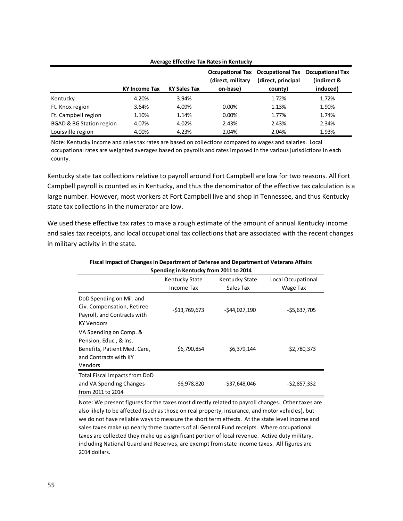| Average Effective Tax Rates in Kentucky |                      |                     |                               |                                                                                     |                         |
|-----------------------------------------|----------------------|---------------------|-------------------------------|-------------------------------------------------------------------------------------|-------------------------|
|                                         | <b>KY Income Tax</b> | <b>KY Sales Tax</b> | (direct, military<br>on-base) | Occupational Tax Occupational Tax Occupational Tax<br>(direct, principal<br>county) | (indirect &<br>induced) |
| Kentucky                                | 4.20%                | 3.94%               |                               | 1.72%                                                                               | 1.72%                   |
|                                         |                      |                     |                               |                                                                                     |                         |
| Ft. Knox region                         | 3.64%                | 4.09%               | $0.00\%$                      | 1.13%                                                                               | 1.90%                   |
| Ft. Campbell region                     | 1.10%                | 1.14%               | 0.00%                         | 1.77%                                                                               | 1.74%                   |
| <b>BGAD &amp; BG Station region</b>     | 4.07%                | 4.02%               | 2.43%                         | 2.43%                                                                               | 2.34%                   |
| Louisville region                       | 4.00%                | 4.23%               | 2.04%                         | 2.04%                                                                               | 1.93%                   |

Note: Kentucky income and sales tax rates are based on collections compared to wages and salaries. Local occupational rates are weighted averages based on payrolls and rates imposed in the various jurisdictions in each county.

Kentucky state tax collections relative to payroll around Fort Campbell are low for two reasons. All Fort Campbell payroll is counted as in Kentucky, and thus the denominator of the effective tax calculation is a large number. However, most workers at Fort Campbell live and shop in Tennessee, and thus Kentucky state tax collections in the numerator are low.

We used these effective tax rates to make a rough estimate of the amount of annual Kentucky income and sales tax receipts, and local occupational tax collections that are associated with the recent changes in military activity in the state.

| Spending in Kentucky from 2011 to 2014 |                       |                       |                    |  |
|----------------------------------------|-----------------------|-----------------------|--------------------|--|
|                                        | <b>Kentucky State</b> | <b>Kentucky State</b> | Local Occupational |  |
|                                        | Income Tax            | Sales Tax             | Wage Tax           |  |
| DoD Spending on Mil. and               |                       |                       |                    |  |
| Civ. Compensation, Retiree             | $-513,769,673$        | $-544,027,190$        | $-$ \$5,637,705    |  |
| Payroll, and Contracts with            |                       |                       |                    |  |
| KY Vendors                             |                       |                       |                    |  |
| VA Spending on Comp. &                 |                       |                       |                    |  |
| Pension, Educ., & Ins.                 |                       |                       |                    |  |
| Benefits, Patient Med. Care,           | \$6,790,854           | \$6,379,144           | \$2,780,373        |  |
| and Contracts with KY                  |                       |                       |                    |  |
| Vendors                                |                       |                       |                    |  |
| Total Fiscal Impacts from DoD          |                       |                       |                    |  |
| and VA Spending Changes                | -\$6,978,820          | $-$ \$37,648,046      | $-52,857,332$      |  |
| from 2011 to 2014                      |                       |                       |                    |  |

# **Fiscal Impact of Changes in Department of Defense and Department of Veterans Affairs**

Note: We present figures for the taxes most directly related to payroll changes. Other taxes are also likely to be affected (such as those on real property, insurance, and motor vehicles), but we do not have reliable ways to measure the short term effects. At the state level income and sales taxes make up nearly three quarters of all General Fund receipts. Where occupational taxes are collected they make up a significant portion of local revenue. Active duty military, including National Guard and Reserves, are exempt from state income taxes. All figures are 2014 dollars.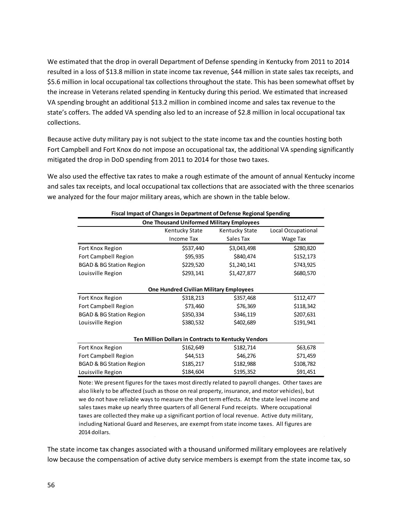We estimated that the drop in overall Department of Defense spending in Kentucky from 2011 to 2014 resulted in a loss of \$13.8 million in state income tax revenue, \$44 million in state sales tax receipts, and \$5.6 million in local occupational tax collections throughout the state. This has been somewhat offset by the increase in Veterans related spending in Kentucky during this period. We estimated that increased VA spending brought an additional \$13.2 million in combined income and sales tax revenue to the state's coffers. The added VA spending also led to an increase of \$2.8 million in local occupational tax collections.

Because active duty military pay is not subject to the state income tax and the counties hosting both Fort Campbell and Fort Knox do not impose an occupational tax, the additional VA spending significantly mitigated the drop in DoD spending from 2011 to 2014 for those two taxes.

We also used the effective tax rates to make a rough estimate of the amount of annual Kentucky income and sales tax receipts, and local occupational tax collections that are associated with the three scenarios we analyzed for the four major military areas, which are shown in the table below.

| <b>One Thousand Uniformed Military Employees</b><br>Local Occupational<br>Kentucky State<br>Kentucky State<br>Income Tax<br>Sales Tax<br>Wage Tax<br>\$537,440<br>\$3,043,498<br>\$280,820<br>Fort Knox Region<br>\$95,935<br>\$840,474<br>\$152,173<br><b>Fort Campbell Region</b><br>\$1,240,141<br>\$743,925<br><b>BGAD &amp; BG Station Region</b><br>\$229,520<br>\$293,141<br>\$1,427,877<br>\$680,570<br>Louisville Region<br><b>One Hundred Civilian Military Employees</b><br>\$112,477<br>Fort Knox Region<br>\$357,468<br>\$318,213<br>\$76,369<br>\$118,342<br><b>Fort Campbell Region</b><br>\$73,460<br>\$207,631<br>\$350,334<br>\$346,119<br><b>BGAD &amp; BG Station Region</b><br>\$402,689<br>\$191,941<br>Louisville Region<br>\$380,532<br><b>Ten Million Dollars in Contracts to Kentucky Vendors</b><br>\$182,714<br>\$63,678<br>Fort Knox Region<br>\$162,649<br>\$46,276<br><b>Fort Campbell Region</b><br>\$44,513<br>\$71,459 | Fiscal Impact of Changes in Department of Defense Regional Spending |           |           |           |  |  |
|----------------------------------------------------------------------------------------------------------------------------------------------------------------------------------------------------------------------------------------------------------------------------------------------------------------------------------------------------------------------------------------------------------------------------------------------------------------------------------------------------------------------------------------------------------------------------------------------------------------------------------------------------------------------------------------------------------------------------------------------------------------------------------------------------------------------------------------------------------------------------------------------------------------------------------------------------------|---------------------------------------------------------------------|-----------|-----------|-----------|--|--|
|                                                                                                                                                                                                                                                                                                                                                                                                                                                                                                                                                                                                                                                                                                                                                                                                                                                                                                                                                          |                                                                     |           |           |           |  |  |
|                                                                                                                                                                                                                                                                                                                                                                                                                                                                                                                                                                                                                                                                                                                                                                                                                                                                                                                                                          |                                                                     |           |           |           |  |  |
|                                                                                                                                                                                                                                                                                                                                                                                                                                                                                                                                                                                                                                                                                                                                                                                                                                                                                                                                                          |                                                                     |           |           |           |  |  |
|                                                                                                                                                                                                                                                                                                                                                                                                                                                                                                                                                                                                                                                                                                                                                                                                                                                                                                                                                          |                                                                     |           |           |           |  |  |
|                                                                                                                                                                                                                                                                                                                                                                                                                                                                                                                                                                                                                                                                                                                                                                                                                                                                                                                                                          |                                                                     |           |           |           |  |  |
|                                                                                                                                                                                                                                                                                                                                                                                                                                                                                                                                                                                                                                                                                                                                                                                                                                                                                                                                                          |                                                                     |           |           |           |  |  |
|                                                                                                                                                                                                                                                                                                                                                                                                                                                                                                                                                                                                                                                                                                                                                                                                                                                                                                                                                          |                                                                     |           |           |           |  |  |
|                                                                                                                                                                                                                                                                                                                                                                                                                                                                                                                                                                                                                                                                                                                                                                                                                                                                                                                                                          |                                                                     |           |           |           |  |  |
|                                                                                                                                                                                                                                                                                                                                                                                                                                                                                                                                                                                                                                                                                                                                                                                                                                                                                                                                                          |                                                                     |           |           |           |  |  |
|                                                                                                                                                                                                                                                                                                                                                                                                                                                                                                                                                                                                                                                                                                                                                                                                                                                                                                                                                          |                                                                     |           |           |           |  |  |
|                                                                                                                                                                                                                                                                                                                                                                                                                                                                                                                                                                                                                                                                                                                                                                                                                                                                                                                                                          |                                                                     |           |           |           |  |  |
|                                                                                                                                                                                                                                                                                                                                                                                                                                                                                                                                                                                                                                                                                                                                                                                                                                                                                                                                                          |                                                                     |           |           |           |  |  |
|                                                                                                                                                                                                                                                                                                                                                                                                                                                                                                                                                                                                                                                                                                                                                                                                                                                                                                                                                          |                                                                     |           |           |           |  |  |
|                                                                                                                                                                                                                                                                                                                                                                                                                                                                                                                                                                                                                                                                                                                                                                                                                                                                                                                                                          |                                                                     |           |           |           |  |  |
|                                                                                                                                                                                                                                                                                                                                                                                                                                                                                                                                                                                                                                                                                                                                                                                                                                                                                                                                                          |                                                                     |           |           |           |  |  |
|                                                                                                                                                                                                                                                                                                                                                                                                                                                                                                                                                                                                                                                                                                                                                                                                                                                                                                                                                          |                                                                     |           |           |           |  |  |
|                                                                                                                                                                                                                                                                                                                                                                                                                                                                                                                                                                                                                                                                                                                                                                                                                                                                                                                                                          |                                                                     |           |           |           |  |  |
|                                                                                                                                                                                                                                                                                                                                                                                                                                                                                                                                                                                                                                                                                                                                                                                                                                                                                                                                                          | <b>BGAD &amp; BG Station Region</b>                                 | \$185,217 | \$182,988 | \$108,782 |  |  |
| \$91,451<br>\$184,604<br>\$195,352<br>Louisville Region                                                                                                                                                                                                                                                                                                                                                                                                                                                                                                                                                                                                                                                                                                                                                                                                                                                                                                  |                                                                     |           |           |           |  |  |

Note: We present figures for the taxes most directly related to payroll changes. Other taxes are also likely to be affected (such as those on real property, insurance, and motor vehicles), but we do not have reliable ways to measure the short term effects. At the state level income and sales taxes make up nearly three quarters of all General Fund receipts. Where occupational taxes are collected they make up a significant portion of local revenue. Active duty military, including National Guard and Reserves, are exempt from state income taxes. All figures are 2014 dollars.

The state income tax changes associated with a thousand uniformed military employees are relatively low because the compensation of active duty service members is exempt from the state income tax, so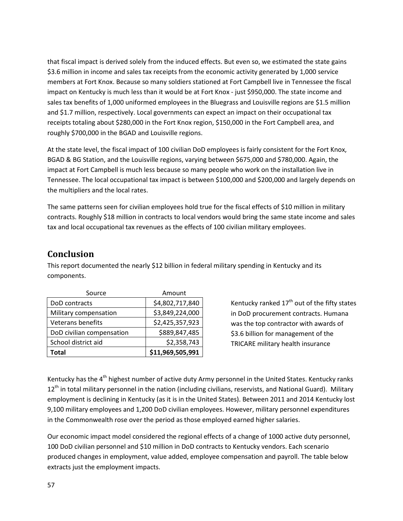that fiscal impact is derived solely from the induced effects. But even so, we estimated the state gains \$3.6 million in income and sales tax receipts from the economic activity generated by 1,000 service members at Fort Knox. Because so many soldiers stationed at Fort Campbell live in Tennessee the fiscal impact on Kentucky is much less than it would be at Fort Knox - just \$950,000. The state income and sales tax benefits of 1,000 uniformed employees in the Bluegrass and Louisville regions are \$1.5 million and \$1.7 million, respectively. Local governments can expect an impact on their occupational tax receipts totaling about \$280,000 in the Fort Knox region, \$150,000 in the Fort Campbell area, and roughly \$700,000 in the BGAD and Louisville regions.

At the state level, the fiscal impact of 100 civilian DoD employees is fairly consistent for the Fort Knox, BGAD & BG Station, and the Louisville regions, varying between \$675,000 and \$780,000. Again, the impact at Fort Campbell is much less because so many people who work on the installation live in Tennessee. The local occupational tax impact is between \$100,000 and \$200,000 and largely depends on the multipliers and the local rates.

The same patterns seen for civilian employees hold true for the fiscal effects of \$10 million in military contracts. Roughly \$18 million in contracts to local vendors would bring the same state income and sales tax and local occupational tax revenues as the effects of 100 civilian military employees.

## <span id="page-59-0"></span>**Conclusion**

This report documented the nearly \$12 billion in federal military spending in Kentucky and its components.

| Source                    | Amount           |
|---------------------------|------------------|
| DoD contracts             | \$4,802,717,840  |
| Military compensation     | \$3,849,224,000  |
| <b>Veterans benefits</b>  | \$2,425,357,923  |
| DoD civilian compensation | \$889,847,485    |
| School district aid       | \$2,358,743      |
| Total                     | \$11,969,505,991 |

Kentucky ranked  $17<sup>th</sup>$  out of the fifty states in DoD procurement contracts. Humana was the top contractor with awards of \$3.6 billion for management of the TRICARE military health insurance

Kentucky has the 4<sup>th</sup> highest number of active duty Army personnel in the United States. Kentucky ranks 12<sup>th</sup> in total military personnel in the nation (including civilians, reservists, and National Guard). Military employment is declining in Kentucky (as it is in the United States). Between 2011 and 2014 Kentucky lost 9,100 military employees and 1,200 DoD civilian employees. However, military personnel expenditures in the Commonwealth rose over the period as those employed earned higher salaries.

Our economic impact model considered the regional effects of a change of 1000 active duty personnel, 100 DoD civilian personnel and \$10 million in DoD contracts to Kentucky vendors. Each scenario produced changes in employment, value added, employee compensation and payroll. The table below extracts just the employment impacts.